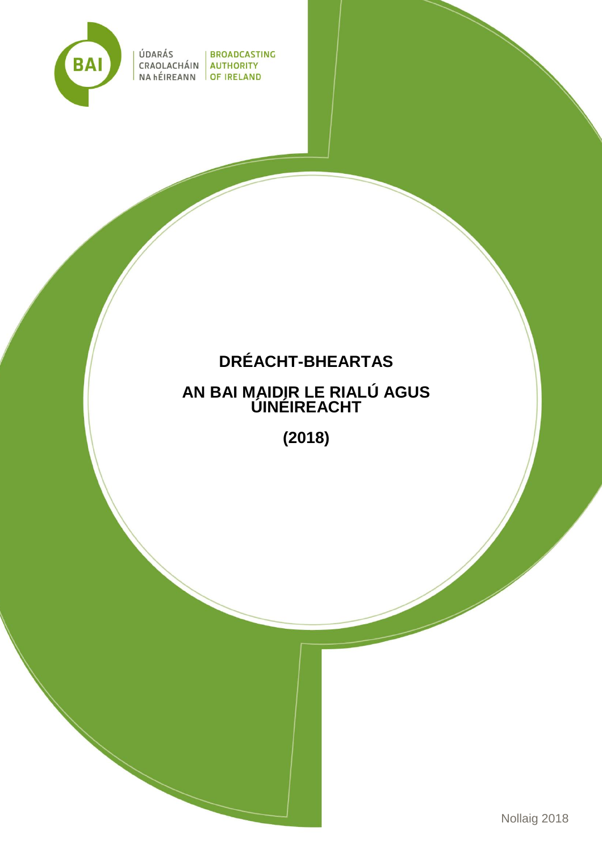

ÚDARÁS | BROADCASTING CRAOLACHÁIN AUTHORITY NA hÉIREANN OF IRELAND

# **DRÉACHT-BHEARTAS**

# **AN BAI MAIDIR LE RIALÚ AGUS ÚINÉIREACHT**

**(2018)**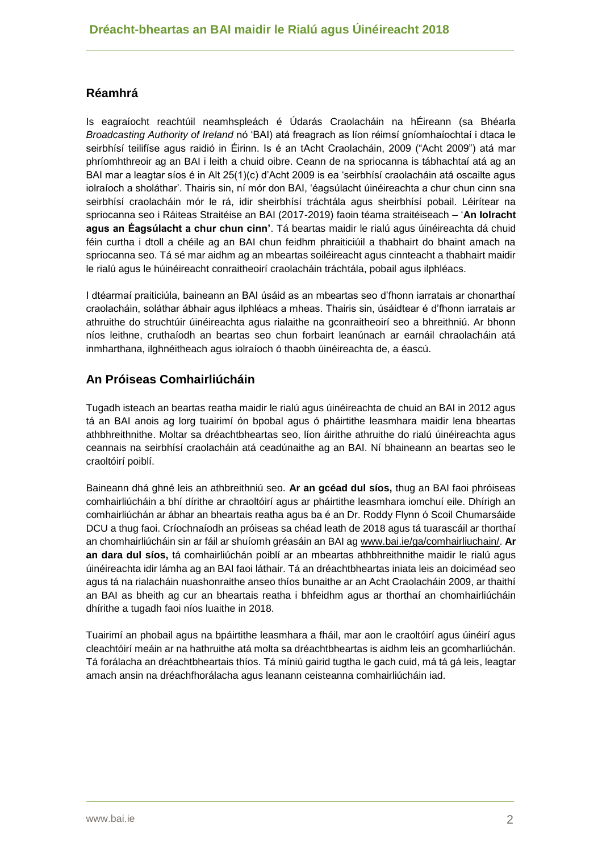# **Réamhrá**

Is eagraíocht reachtúil neamhspleách é Údarás Craolacháin na hÉireann (sa Bhéarla *Broadcasting Authority of Ireland* nó 'BAI) atá freagrach as líon réimsí gníomhaíochtaí i dtaca le seirbhísí teilifíse agus raidió in Éirinn. Is é an tAcht Craolacháin, 2009 ("Acht 2009") atá mar phríomhthreoir ag an BAI i leith a chuid oibre. Ceann de na spriocanna is tábhachtaí atá ag an BAI mar a leagtar síos é in Alt 25(1)(c) d'Acht 2009 is ea 'seirbhísí craolacháin atá oscailte agus iolraíoch a sholáthar'. Thairis sin, ní mór don BAI, 'éagsúlacht úinéireachta a chur chun cinn sna seirbhísí craolacháin mór le rá, idir sheirbhísí tráchtála agus sheirbhísí pobail. Léirítear na spriocanna seo i Ráiteas Straitéise an BAI (2017-2019) faoin téama straitéiseach – '**An Iolracht agus an Éagsúlacht a chur chun cinn'**. Tá beartas maidir le rialú agus úinéireachta dá chuid féin curtha i dtoll a chéile ag an BAI chun feidhm phraiticiúil a thabhairt do bhaint amach na spriocanna seo. Tá sé mar aidhm ag an mbeartas soiléireacht agus cinnteacht a thabhairt maidir le rialú agus le húinéireacht conraitheoirí craolacháin tráchtála, pobail agus ilphléacs.

I dtéarmaí praiticiúla, baineann an BAI úsáid as an mbeartas seo d'fhonn iarratais ar chonarthaí craolacháin, soláthar ábhair agus ilphléacs a mheas. Thairis sin, úsáidtear é d'fhonn iarratais ar athruithe do struchtúir úinéireachta agus rialaithe na gconraitheoirí seo a bhreithniú. Ar bhonn níos leithne, cruthaíodh an beartas seo chun forbairt leanúnach ar earnáil chraolacháin atá inmharthana, ilghnéitheach agus iolraíoch ó thaobh úinéireachta de, a éascú.

## **An Próiseas Comhairliúcháin**

Tugadh isteach an beartas reatha maidir le rialú agus úinéireachta de chuid an BAI in 2012 agus tá an BAI anois ag lorg tuairimí ón bpobal agus ó pháirtithe leasmhara maidir lena bheartas athbhreithnithe. Moltar sa dréachtbheartas seo, líon áirithe athruithe do rialú úinéireachta agus ceannais na seirbhísí craolacháin atá ceadúnaithe ag an BAI. Ní bhaineann an beartas seo le craoltóirí poiblí.

Baineann dhá ghné leis an athbreithniú seo. **Ar an gcéad dul síos,** thug an BAI faoi phróiseas comhairliúcháin a bhí dírithe ar chraoltóirí agus ar pháirtithe leasmhara iomchuí eile. Dhírigh an comhairliúchán ar ábhar an bheartais reatha agus ba é an Dr. Roddy Flynn ó Scoil Chumarsáide DCU a thug faoi. Críochnaíodh an próiseas sa chéad leath de 2018 agus tá tuarascáil ar thorthaí an chomhairliúcháin sin ar fáil ar shuíomh gréasáin an BAI ag [www.bai.ie/ga/comhairliuchain/.](http://www.bai.ie/ga/comhairliuchain/) **Ar an dara dul síos,** tá comhairliúchán poiblí ar an mbeartas athbhreithnithe maidir le rialú agus úinéireachta idir lámha ag an BAI faoi láthair. Tá an dréachtbheartas iniata leis an doiciméad seo agus tá na rialacháin nuashonraithe anseo thíos bunaithe ar an Acht Craolacháin 2009, ar thaithí an BAI as bheith ag cur an bheartais reatha i bhfeidhm agus ar thorthaí an chomhairliúcháin dhírithe a tugadh faoi níos luaithe in 2018.

Tuairimí an phobail agus na bpáirtithe leasmhara a fháil, mar aon le craoltóirí agus úinéirí agus cleachtóirí meáin ar na hathruithe atá molta sa dréachtbheartas is aidhm leis an gcomharliúchán. Tá forálacha an dréachtbheartais thíos. Tá míniú gairid tugtha le gach cuid, má tá gá leis, leagtar amach ansin na dréachfhorálacha agus leanann ceisteanna comhairliúcháin iad.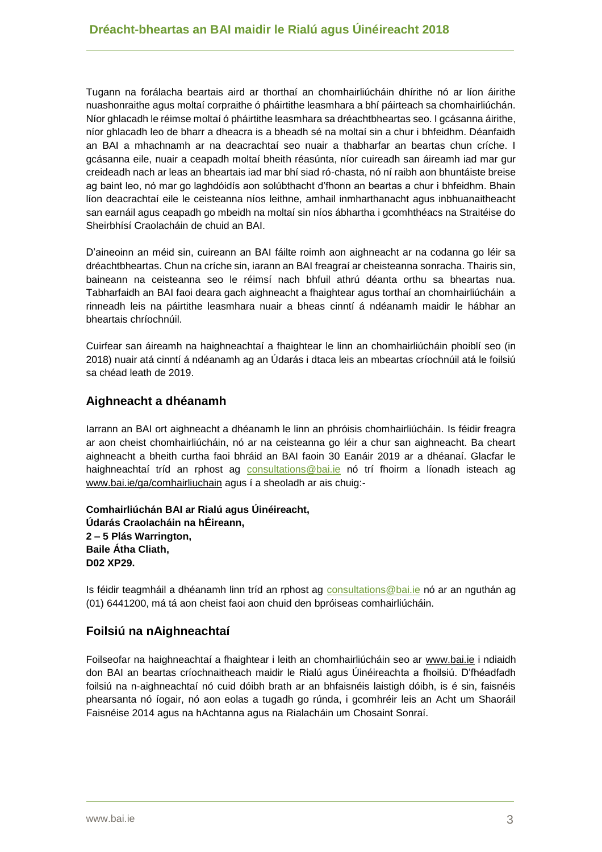Tugann na forálacha beartais aird ar thorthaí an chomhairliúcháin dhírithe nó ar líon áirithe nuashonraithe agus moltaí corpraithe ó pháirtithe leasmhara a bhí páirteach sa chomhairliúchán. Níor ghlacadh le réimse moltaí ó pháirtithe leasmhara sa dréachtbheartas seo. I gcásanna áirithe, níor ghlacadh leo de bharr a dheacra is a bheadh sé na moltaí sin a chur i bhfeidhm. Déanfaidh an BAI a mhachnamh ar na deacrachtaí seo nuair a thabharfar an beartas chun críche. I gcásanna eile, nuair a ceapadh moltaí bheith réasúnta, níor cuireadh san áireamh iad mar gur creideadh nach ar leas an bheartais iad mar bhí siad ró-chasta, nó ní raibh aon bhuntáiste breise ag baint leo, nó mar go laghdóidís aon solúbthacht d'fhonn an beartas a chur i bhfeidhm. Bhain líon deacrachtaí eile le ceisteanna níos leithne, amhail inmharthanacht agus inbhuanaitheacht san earnáil agus ceapadh go mbeidh na moltaí sin níos ábhartha i gcomhthéacs na Straitéise do Sheirbhísí Craolacháin de chuid an BAI.

D'aineoinn an méid sin, cuireann an BAI fáilte roimh aon aighneacht ar na codanna go léir sa dréachtbheartas. Chun na críche sin, iarann an BAI freagraí ar cheisteanna sonracha. Thairis sin, baineann na ceisteanna seo le réimsí nach bhfuil athrú déanta orthu sa bheartas nua. Tabharfaidh an BAI faoi deara gach aighneacht a fhaightear agus torthaí an chomhairliúcháin a rinneadh leis na páirtithe leasmhara nuair a bheas cinntí á ndéanamh maidir le hábhar an bheartais chríochnúil.

Cuirfear san áireamh na haighneachtaí a fhaightear le linn an chomhairliúcháin phoiblí seo (in 2018) nuair atá cinntí á ndéanamh ag an Údarás i dtaca leis an mbeartas críochnúil atá le foilsiú sa chéad leath de 2019.

## **Aighneacht a dhéanamh**

Iarrann an BAI ort aighneacht a dhéanamh le linn an phróisis chomhairliúcháin. Is féidir freagra ar aon cheist chomhairliúcháin, nó ar na ceisteanna go léir a chur san aighneacht. Ba cheart aighneacht a bheith curtha faoi bhráid an BAI faoin 30 Eanáir 2019 ar a dhéanaí. Glacfar le haighneachtaí tríd an rphost ag [consultations@bai.ie](mailto:consultations@bai.ie) nó trí fhoirm a líonadh isteach ag [www.bai.ie/ga/comhairliuchain](http://www.bai.ie/ga/comhairliuchain) agus í a sheoladh ar ais chuig:-

**Comhairliúchán BAI ar Rialú agus Úinéireacht, Údarás Craolacháin na hÉireann, 2 – 5 Plás Warrington, Baile Átha Cliath, D02 XP29.**

Is féidir teagmháil a dhéanamh linn tríd an rphost ag [consultations@bai.ie](mailto:consultations@bai.ie) nó ar an nguthán ag (01) 6441200, má tá aon cheist faoi aon chuid den bpróiseas comhairliúcháin.

# **Foilsiú na nAighneachtaí**

Foilseofar na haighneachtaí a fhaightear i leith an chomhairliúcháin seo ar [www.bai.ie](https://www.bai.ie/ga/) i ndiaidh don BAI an beartas críochnaitheach maidir le Rialú agus Úinéireachta a fhoilsiú. D'fhéadfadh foilsiú na n-aighneachtaí nó cuid dóibh brath ar an bhfaisnéis laistigh dóibh, is é sin, faisnéis phearsanta nó íogair, nó aon eolas a tugadh go rúnda, i gcomhréir leis an Acht um Shaoráil Faisnéise 2014 agus na hAchtanna agus na Rialacháin um Chosaint Sonraí.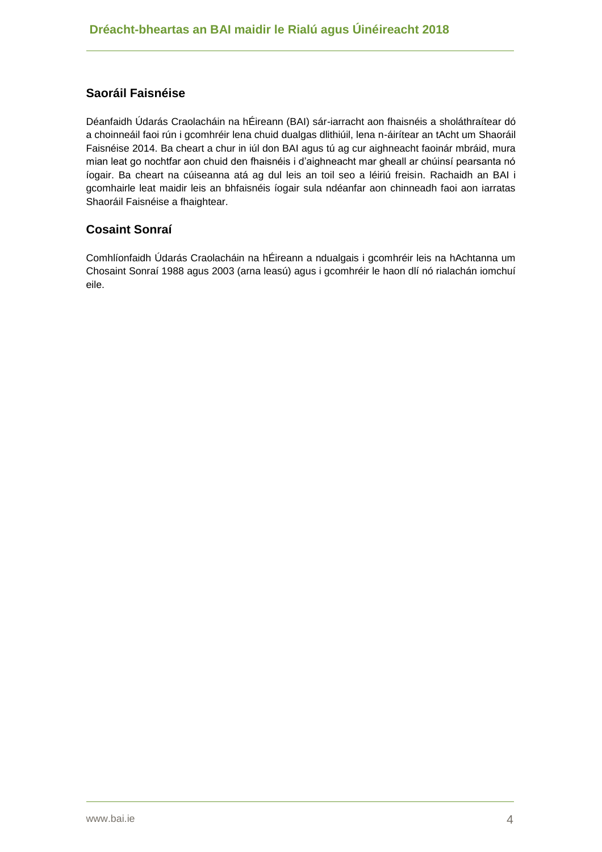# **Saoráil Faisnéise**

Déanfaidh Údarás Craolacháin na hÉireann (BAI) sár-iarracht aon fhaisnéis a sholáthraítear dó a choinneáil faoi rún i gcomhréir lena chuid dualgas dlithiúil, lena n-áirítear an tAcht um Shaoráil Faisnéise 2014. Ba cheart a chur in iúl don BAI agus tú ag cur aighneacht faoinár mbráid, mura mian leat go nochtfar aon chuid den fhaisnéis i d'aighneacht mar gheall ar chúinsí pearsanta nó íogair. Ba cheart na cúiseanna atá ag dul leis an toil seo a léiriú freisin. Rachaidh an BAI i gcomhairle leat maidir leis an bhfaisnéis íogair sula ndéanfar aon chinneadh faoi aon iarratas Shaoráil Faisnéise a fhaightear.

## **Cosaint Sonraí**

Comhlíonfaidh Údarás Craolacháin na hÉireann a ndualgais i gcomhréir leis na hAchtanna um Chosaint Sonraí 1988 agus 2003 (arna leasú) agus i gcomhréir le haon dlí nó rialachán iomchuí eile.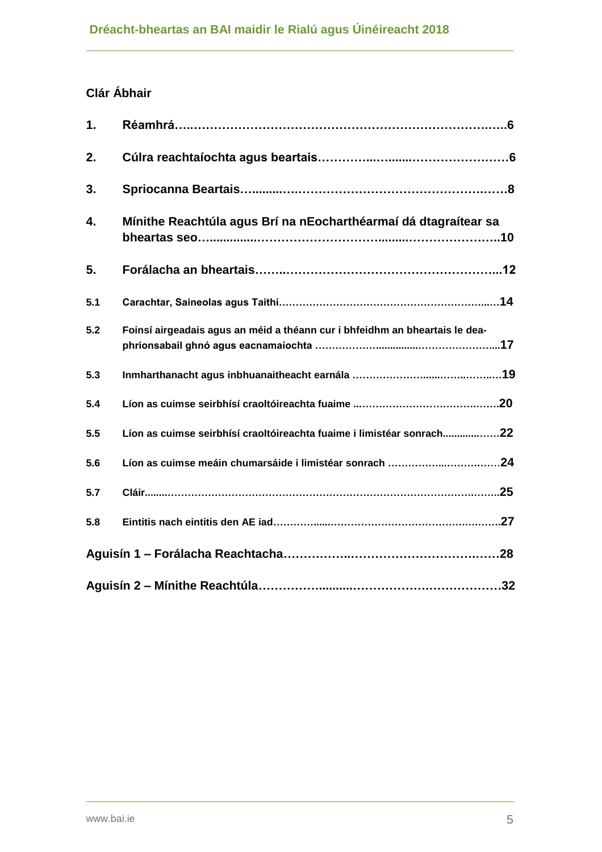# **Clár Ábhair**

| 1.  | Réamhrá……………………………………………………………………………6                                       |
|-----|-----------------------------------------------------------------------------|
| 2.  |                                                                             |
| 3.  |                                                                             |
| 4.  | Mínithe Reachtúla agus Brí na nEocharthéarmaí dá dtagraítear sa             |
| 5.  |                                                                             |
| 5.1 |                                                                             |
| 5.2 | Foinsí airgeadais agus an méid a théann cur i bhfeidhm an bheartais le dea- |
| 5.3 |                                                                             |
| 5.4 |                                                                             |
| 5.5 | Líon as cuimse seirbhísí craoltóireachta fuaime i limistéar sonrach22       |
| 5.6 |                                                                             |
| 5.7 |                                                                             |
| 5.8 |                                                                             |
|     |                                                                             |
|     |                                                                             |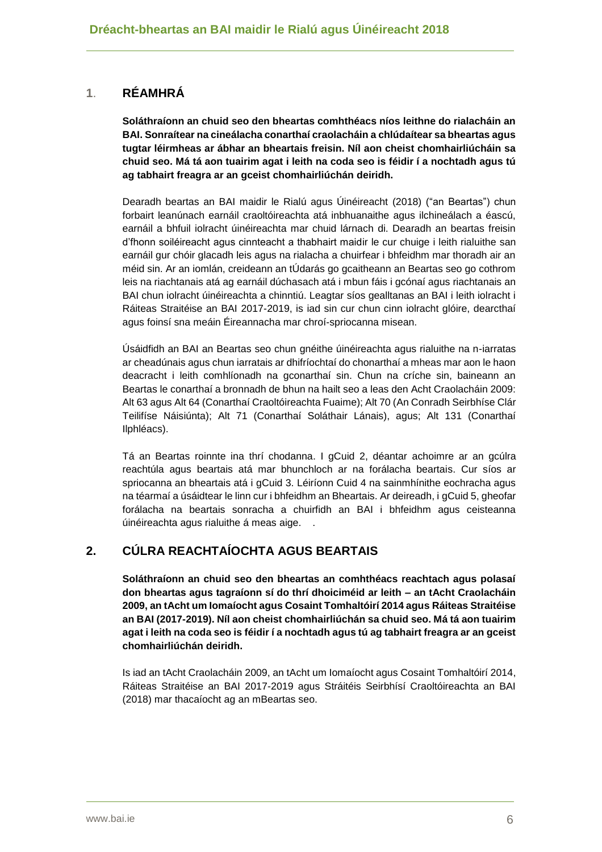# **1**. **RÉAMHRÁ**

**Soláthraíonn an chuid seo den bheartas comhthéacs níos leithne do rialacháin an BAI. Sonraítear na cineálacha conarthaí craolacháin a chlúdaítear sa bheartas agus tugtar léirmheas ar ábhar an bheartais freisin. Níl aon cheist chomhairliúcháin sa chuid seo. Má tá aon tuairim agat i leith na coda seo is féidir í a nochtadh agus tú ag tabhairt freagra ar an gceist chomhairliúchán deiridh.**

Dearadh beartas an BAI maidir le Rialú agus Úinéireacht (2018) ("an Beartas") chun forbairt leanúnach earnáil craoltóireachta atá inbhuanaithe agus ilchineálach a éascú, earnáil a bhfuil iolracht úinéireachta mar chuid lárnach di. Dearadh an beartas freisin d'fhonn soiléireacht agus cinnteacht a thabhairt maidir le cur chuige i leith rialuithe san earnáil gur chóir glacadh leis agus na rialacha a chuirfear i bhfeidhm mar thoradh air an méid sin. Ar an iomlán, creideann an tÚdarás go gcaitheann an Beartas seo go cothrom leis na riachtanais atá ag earnáil dúchasach atá i mbun fáis i gcónaí agus riachtanais an BAI chun iolracht úinéireachta a chinntiú. Leagtar síos gealltanas an BAI i leith iolracht i Ráiteas Straitéise an BAI 2017-2019, is iad sin cur chun cinn iolracht glóire, dearcthaí agus foinsí sna meáin Éireannacha mar chroí-spriocanna misean.

Úsáidfidh an BAI an Beartas seo chun gnéithe úinéireachta agus rialuithe na n-iarratas ar cheadúnais agus chun iarratais ar dhifríochtaí do chonarthaí a mheas mar aon le haon deacracht i leith comhlíonadh na gconarthaí sin. Chun na críche sin, baineann an Beartas le conarthaí a bronnadh de bhun na hailt seo a leas den Acht Craolacháin 2009: Alt 63 agus Alt 64 (Conarthaí Craoltóireachta Fuaime); Alt 70 (An Conradh Seirbhíse Clár Teilifíse Náisiúnta); Alt 71 (Conarthaí Soláthair Lánais), agus; Alt 131 (Conarthaí Ilphléacs).

Tá an Beartas roinnte ina thrí chodanna. I gCuid 2, déantar achoimre ar an gcúlra reachtúla agus beartais atá mar bhunchloch ar na forálacha beartais. Cur síos ar spriocanna an bheartais atá i gCuid 3. Léiríonn Cuid 4 na sainmhínithe eochracha agus na téarmaí a úsáidtear le linn cur i bhfeidhm an Bheartais. Ar deireadh, i gCuid 5, gheofar forálacha na beartais sonracha a chuirfidh an BAI i bhfeidhm agus ceisteanna úinéireachta agus rialuithe á meas aige. .

# **2. CÚLRA REACHTAÍOCHTA AGUS BEARTAIS**

**Soláthraíonn an chuid seo den bheartas an comhthéacs reachtach agus polasaí don bheartas agus tagraíonn sí do thrí dhoiciméid ar leith – an tAcht Craolacháin 2009, an tAcht um Iomaíocht agus Cosaint Tomhaltóirí 2014 agus Ráiteas Straitéise an BAI (2017-2019). Níl aon cheist chomhairliúchán sa chuid seo. Má tá aon tuairim agat i leith na coda seo is féidir í a nochtadh agus tú ag tabhairt freagra ar an gceist chomhairliúchán deiridh.**

Is iad an tAcht Craolacháin 2009, an tAcht um Iomaíocht agus Cosaint Tomhaltóirí 2014, Ráiteas Straitéise an BAI 2017-2019 agus Stráitéis Seirbhísí Craoltóireachta an BAI (2018) mar thacaíocht ag an mBeartas seo.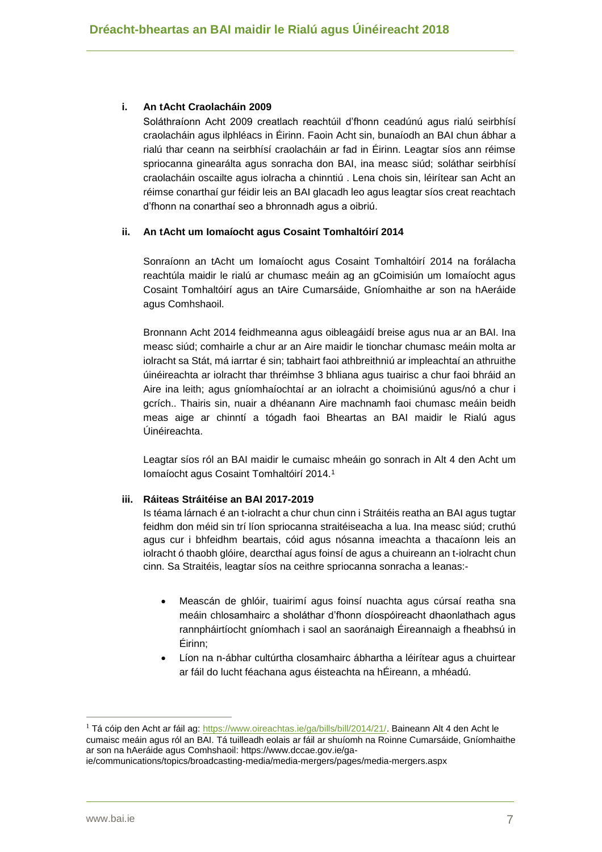#### **i. An tAcht Craolacháin 2009**

Soláthraíonn Acht 2009 creatlach reachtúil d'fhonn ceadúnú agus rialú seirbhísí craolacháin agus ilphléacs in Éirinn. Faoin Acht sin, bunaíodh an BAI chun ábhar a rialú thar ceann na seirbhísí craolacháin ar fad in Éirinn. Leagtar síos ann réimse spriocanna ginearálta agus sonracha don BAI, ina measc siúd; soláthar seirbhísí craolacháin oscailte agus iolracha a chinntiú . Lena chois sin, léirítear san Acht an réimse conarthaí gur féidir leis an BAI glacadh leo agus leagtar síos creat reachtach d'fhonn na conarthaí seo a bhronnadh agus a oibriú.

#### **ii. An tAcht um Iomaíocht agus Cosaint Tomhaltóirí 2014**

Sonraíonn an tAcht um Iomaíocht agus Cosaint Tomhaltóirí 2014 na forálacha reachtúla maidir le rialú ar chumasc meáin ag an gCoimisiún um Iomaíocht agus Cosaint Tomhaltóirí agus an tAire Cumarsáide, Gníomhaithe ar son na hAeráide agus Comhshaoil.

Bronnann Acht 2014 feidhmeanna agus oibleagáidí breise agus nua ar an BAI. Ina measc siúd; comhairle a chur ar an Aire maidir le tionchar chumasc meáin molta ar iolracht sa Stát, má iarrtar é sin; tabhairt faoi athbreithniú ar impleachtaí an athruithe úinéireachta ar iolracht thar thréimhse 3 bhliana agus tuairisc a chur faoi bhráid an Aire ina leith; agus gníomhaíochtaí ar an iolracht a choimisiúnú agus/nó a chur i gcrích.. Thairis sin, nuair a dhéanann Aire machnamh faoi chumasc meáin beidh meas aige ar chinntí a tógadh faoi Bheartas an BAI maidir le Rialú agus Úinéireachta.

Leagtar síos ról an BAI maidir le cumaisc mheáin go sonrach in Alt 4 den Acht um Iomaíocht agus Cosaint Tomhaltóirí 2014.<sup>1</sup>

#### **iii. Ráiteas Stráitéise an BAI 2017-2019**

Is téama lárnach é an t-iolracht a chur chun cinn i Stráitéis reatha an BAI agus tugtar feidhm don méid sin trí líon spriocanna straitéiseacha a lua. Ina measc siúd; cruthú agus cur i bhfeidhm beartais, cóid agus nósanna imeachta a thacaíonn leis an iolracht ó thaobh glóire, dearcthaí agus foinsí de agus a chuireann an t-iolracht chun cinn. Sa Straitéis, leagtar síos na ceithre spriocanna sonracha a leanas:-

- Meascán de ghlóir, tuairimí agus foinsí nuachta agus cúrsaí reatha sna meáin chlosamhairc a sholáthar d'fhonn díospóireacht dhaonlathach agus rannpháirtíocht gníomhach i saol an saoránaigh Éireannaigh a fheabhsú in Éirinn;
- Líon na n-ábhar cultúrtha closamhairc ábhartha a léirítear agus a chuirtear ar fáil do lucht féachana agus éisteachta na hÉireann, a mhéadú.

<sup>&</sup>lt;sup>1</sup> Tá cóip den Acht ar fáil ag: [https://www.oireachtas.ie/ga/bills/bill/2014/21/.](https://www.oireachtas.ie/ga/bills/bill/2014/21/) Baineann Alt 4 den Acht le cumaisc meáin agus ról an BAI. Tá tuilleadh eolais ar fáil ar shuíomh na Roinne Cumarsáide, Gníomhaithe ar son na hAeráide agus Comhshaoil: https://www.dccae.gov.ie/ga-

ie/communications/topics/broadcasting-media/media-mergers/pages/media-mergers.aspx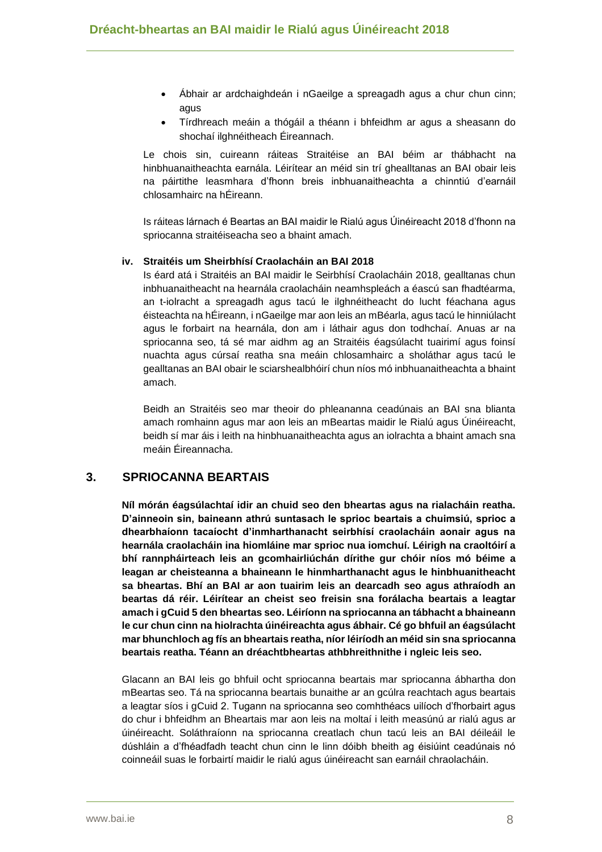- Ábhair ar ardchaighdeán i nGaeilge a spreagadh agus a chur chun cinn; agus
- Tírdhreach meáin a thógáil a théann i bhfeidhm ar agus a sheasann do shochaí ilghnéitheach Éireannach.

Le chois sin, cuireann ráiteas Straitéise an BAI béim ar thábhacht na hinbhuanaitheachta earnála. Léirítear an méid sin trí ghealltanas an BAI obair leis na páirtithe leasmhara d'fhonn breis inbhuanaitheachta a chinntiú d'earnáil chlosamhairc na hÉireann.

Is ráiteas lárnach é Beartas an BAI maidir le Rialú agus Úinéireacht 2018 d'fhonn na spriocanna straitéiseacha seo a bhaint amach.

#### **iv. Straitéis um Sheirbhísí Craolacháin an BAI 2018**

Is éard atá i Straitéis an BAI maidir le Seirbhísí Craolacháin 2018, gealltanas chun inbhuanaitheacht na hearnála craolacháin neamhspleách a éascú san fhadtéarma, an t-iolracht a spreagadh agus tacú le ilghnéitheacht do lucht féachana agus éisteachta na hÉireann, i nGaeilge mar aon leis an mBéarla, agus tacú le hinniúlacht agus le forbairt na hearnála, don am i láthair agus don todhchaí. Anuas ar na spriocanna seo, tá sé mar aidhm ag an Straitéis éagsúlacht tuairimí agus foinsí nuachta agus cúrsaí reatha sna meáin chlosamhairc a sholáthar agus tacú le gealltanas an BAI obair le sciarshealbhóirí chun níos mó inbhuanaitheachta a bhaint amach.

Beidh an Straitéis seo mar theoir do phleananna ceadúnais an BAI sna blianta amach romhainn agus mar aon leis an mBeartas maidir le Rialú agus Úinéireacht, beidh sí mar áis i leith na hinbhuanaitheachta agus an iolrachta a bhaint amach sna meáin Éireannacha.

## **3. SPRIOCANNA BEARTAIS**

**Níl mórán éagsúlachtaí idir an chuid seo den bheartas agus na rialacháin reatha. D'ainneoin sin, baineann athrú suntasach le sprioc beartais a chuimsiú, sprioc a dhearbhaíonn tacaíocht d'inmharthanacht seirbhísí craolacháin aonair agus na hearnála craolacháin ina hiomláine mar sprioc nua iomchuí. Léirigh na craoltóirí a bhí rannpháirteach leis an gcomhairliúchán dírithe gur chóir níos mó béime a leagan ar cheisteanna a bhaineann le hinmharthanacht agus le hinbhuanitheacht sa bheartas. Bhí an BAI ar aon tuairim leis an dearcadh seo agus athraíodh an beartas dá réir. Léirítear an cheist seo freisin sna forálacha beartais a leagtar amach i gCuid 5 den bheartas seo. Léiríonn na spriocanna an tábhacht a bhaineann le cur chun cinn na hiolrachta úinéireachta agus ábhair. Cé go bhfuil an éagsúlacht mar bhunchloch ag fís an bheartais reatha, níor léiríodh an méid sin sna spriocanna beartais reatha. Téann an dréachtbheartas athbhreithnithe i ngleic leis seo.**

Glacann an BAI leis go bhfuil ocht spriocanna beartais mar spriocanna ábhartha don mBeartas seo. Tá na spriocanna beartais bunaithe ar an gcúlra reachtach agus beartais a leagtar síos i gCuid 2. Tugann na spriocanna seo comhthéacs uilíoch d'fhorbairt agus do chur i bhfeidhm an Bheartais mar aon leis na moltaí i leith measúnú ar rialú agus ar úinéireacht. Soláthraíonn na spriocanna creatlach chun tacú leis an BAI déileáil le dúshláin a d'fhéadfadh teacht chun cinn le linn dóibh bheith ag éisiúint ceadúnais nó coinneáil suas le forbairtí maidir le rialú agus úinéireacht san earnáil chraolacháin.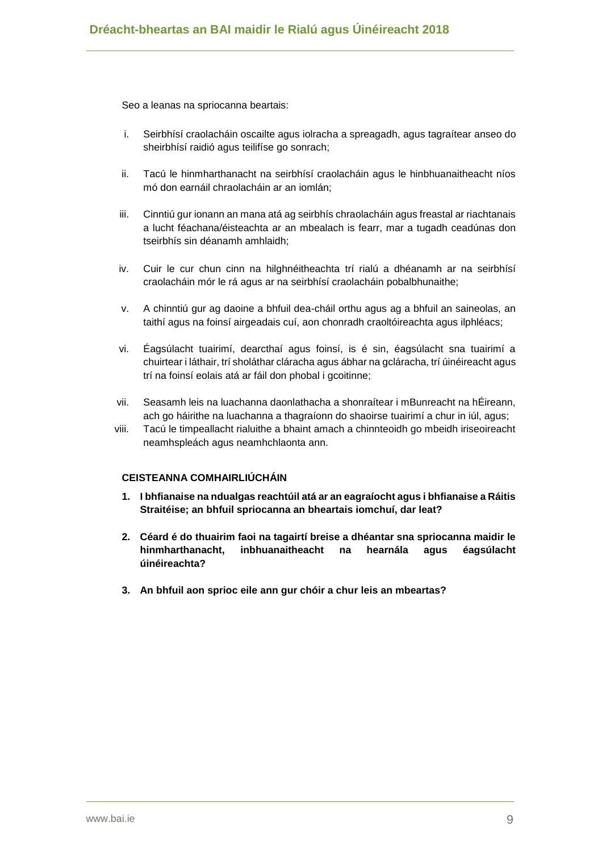Seo a leanas na spriocanna beartais:

- i. Seirbhísí craolacháin oscailte agus iolracha a spreagadh, agus tagraítear anseo do sheirbhísí raidió agus teilifíse go sonrach;
- ii. Tacú le hinmharthanacht na seirbhísí craolacháin agus le hinbhuanaitheacht níos mó don earnáil chraolacháin ar an iomlán;
- iii. Cinntiú gur ionann an mana atá ag seirbhís chraolacháin agus freastal ar riachtanais a lucht féachana/éisteachta ar an mbealach is fearr, mar a tugadh ceadúnas don tseirbhís sin déanamh amhlaidh;
- iv. Cuir le cur chun cinn na hilghnéitheachta trí rialú a dhéanamh ar na seirbhísí craolacháin mór le rá agus ar na seirbhísí craolacháin pobalbhunaithe;
- v. A chinntiú gur ag daoine a bhfuil dea-cháil orthu agus ag a bhfuil an saineolas, an taithí agus na foinsí airgeadais cuí, aon chonradh craoltóireachta agus ilphléacs;
- vi. Éagsúlacht tuairimí, dearcthaí agus foinsí, is é sin, éagsúlacht sna tuairimí a chuirtear i láthair, trí sholáthar cláracha agus ábhar na gcláracha, trí úinéireacht agus trí na foinsí eolais atá ar fáil don phobal i gcoitinne;
- vii. Seasamh leis na luachanna daonlathacha a shonraítear i mBunreacht na hÉireann, ach go háirithe na luachanna a thagraíonn do shaoirse tuairimí a chur in iúl, agus;
- viii. Tacú le timpeallacht rialuithe a bhaint amach a chinnteoidh go mbeidh iriseoireacht neamhspleách agus neamhchlaonta ann.

#### **CEISTEANNA COMHAIRLIÚCHÁIN**

- **1. I bhfianaise na ndualgas reachtúil atá ar an eagraíocht agus i bhfianaise a Ráitis Straitéise; an bhfuil spriocanna an bheartais iomchuí, dar leat?**
- **2. Céard é do thuairim faoi na tagairtí breise a dhéantar sna spriocanna maidir le hinmharthanacht, inbhuanaitheacht na hearnála agus éagsúlacht úinéireachta?**
- **3. An bhfuil aon sprioc eile ann gur chóir a chur leis an mbeartas?**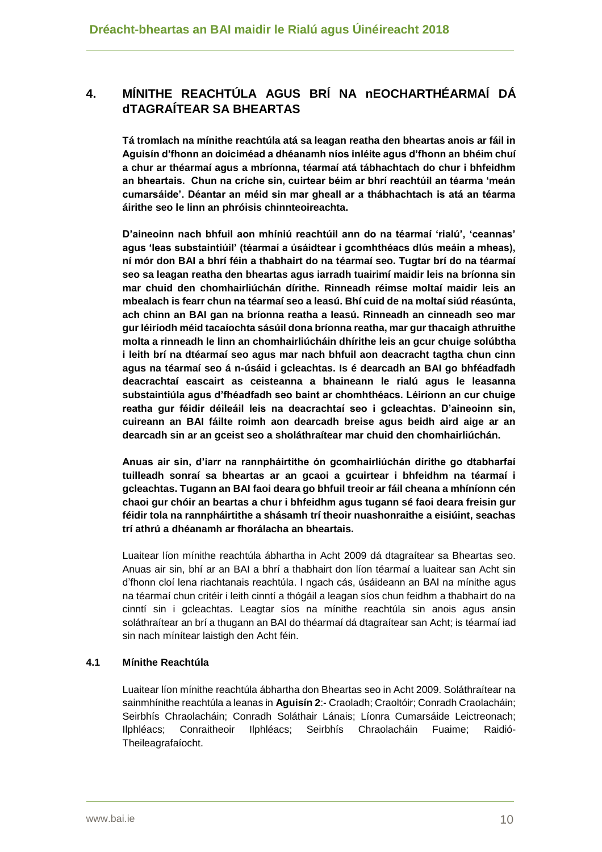# **4. MÍNITHE REACHTÚLA AGUS BRÍ NA nEOCHARTHÉARMAÍ DÁ dTAGRAÍTEAR SA BHEARTAS**

**Tá tromlach na mínithe reachtúla atá sa leagan reatha den bheartas anois ar fáil in Aguisín d'fhonn an doiciméad a dhéanamh níos inléite agus d'fhonn an bhéim chuí a chur ar théarmaí agus a mbríonna, téarmaí atá tábhachtach do chur i bhfeidhm an bheartais. Chun na críche sin, cuirtear béim ar bhrí reachtúil an téarma 'meán cumarsáide'. Déantar an méid sin mar gheall ar a thábhachtach is atá an téarma áirithe seo le linn an phróisis chinnteoireachta.**

**D'aineoinn nach bhfuil aon mhíniú reachtúil ann do na téarmaí 'rialú', 'ceannas' agus 'leas substaintiúil' (téarmaí a úsáidtear i gcomhthéacs dlús meáin a mheas), ní mór don BAI a bhrí féin a thabhairt do na téarmaí seo. Tugtar brí do na téarmaí seo sa leagan reatha den bheartas agus iarradh tuairimí maidir leis na bríonna sin mar chuid den chomhairliúchán dírithe. Rinneadh réimse moltaí maidir leis an mbealach is fearr chun na téarmaí seo a leasú. Bhí cuid de na moltaí siúd réasúnta, ach chinn an BAI gan na bríonna reatha a leasú. Rinneadh an cinneadh seo mar gur léiríodh méid tacaíochta sásúil dona bríonna reatha, mar gur thacaigh athruithe molta a rinneadh le linn an chomhairliúcháin dhírithe leis an gcur chuige solúbtha i leith brí na dtéarmaí seo agus mar nach bhfuil aon deacracht tagtha chun cinn agus na téarmaí seo á n-úsáid i gcleachtas. Is é dearcadh an BAI go bhféadfadh deacrachtaí eascairt as ceisteanna a bhaineann le rialú agus le leasanna substaintiúla agus d'fhéadfadh seo baint ar chomhthéacs. Léiríonn an cur chuige reatha gur féidir déileáil leis na deacrachtaí seo i gcleachtas. D'aineoinn sin, cuireann an BAI fáilte roimh aon dearcadh breise agus beidh aird aige ar an dearcadh sin ar an gceist seo a sholáthraítear mar chuid den chomhairliúchán.**

**Anuas air sin, d'iarr na rannpháirtithe ón gcomhairliúchán dírithe go dtabharfaí tuilleadh sonraí sa bheartas ar an gcaoi a gcuirtear i bhfeidhm na téarmaí i gcleachtas. Tugann an BAI faoi deara go bhfuil treoir ar fáil cheana a mhíníonn cén chaoi gur chóir an beartas a chur i bhfeidhm agus tugann sé faoi deara freisin gur féidir tola na rannpháirtithe a shásamh trí theoir nuashonraithe a eisiúint, seachas trí athrú a dhéanamh ar fhorálacha an bheartais.**

Luaitear líon mínithe reachtúla ábhartha in Acht 2009 dá dtagraítear sa Bheartas seo. Anuas air sin, bhí ar an BAI a bhrí a thabhairt don líon téarmaí a luaitear san Acht sin d'fhonn cloí lena riachtanais reachtúla. I ngach cás, úsáideann an BAI na mínithe agus na téarmaí chun critéir i leith cinntí a thógáil a leagan síos chun feidhm a thabhairt do na cinntí sin i gcleachtas. Leagtar síos na mínithe reachtúla sin anois agus ansin soláthraítear an brí a thugann an BAI do théarmaí dá dtagraítear san Acht; is téarmaí iad sin nach mínítear laistigh den Acht féin.

## **4.1 Mínithe Reachtúla**

Luaitear líon mínithe reachtúla ábhartha don Bheartas seo in Acht 2009. Soláthraítear na sainmhínithe reachtúla a leanas in **Aguisín 2**:- Craoladh; Craoltóir; Conradh Craolacháin; Seirbhís Chraolacháin; Conradh Soláthair Lánais; Líonra Cumarsáide Leictreonach; Ilphléacs; Conraitheoir Ilphléacs; Seirbhís Chraolacháin Fuaime; Raidió-Theileagrafaíocht.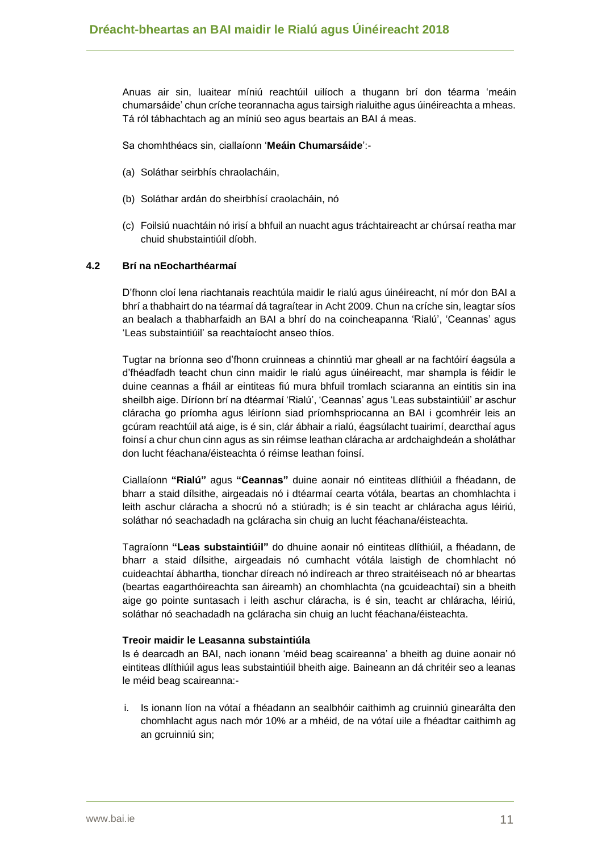Anuas air sin, luaitear míniú reachtúil uilíoch a thugann brí don téarma 'meáin chumarsáide' chun críche teorannacha agus tairsigh rialuithe agus úinéireachta a mheas. Tá ról tábhachtach ag an míniú seo agus beartais an BAI á meas.

Sa chomhthéacs sin, ciallaíonn '**Meáin Chumarsáide**':-

- (a) Soláthar seirbhís chraolacháin,
- (b) Soláthar ardán do sheirbhísí craolacháin, nó
- (c) Foilsiú nuachtáin nó irisí a bhfuil an nuacht agus tráchtaireacht ar chúrsaí reatha mar chuid shubstaintiúil díobh.

#### **4.2 Brí na nEocharthéarmaí**

D'fhonn cloí lena riachtanais reachtúla maidir le rialú agus úinéireacht, ní mór don BAI a bhrí a thabhairt do na téarmaí dá tagraítear in Acht 2009. Chun na críche sin, leagtar síos an bealach a thabharfaidh an BAI a bhrí do na coincheapanna 'Rialú', 'Ceannas' agus 'Leas substaintiúil' sa reachtaíocht anseo thíos.

Tugtar na bríonna seo d'fhonn cruinneas a chinntiú mar gheall ar na fachtóirí éagsúla a d'fhéadfadh teacht chun cinn maidir le rialú agus úinéireacht, mar shampla is féidir le duine ceannas a fháil ar eintiteas fiú mura bhfuil tromlach sciaranna an eintitis sin ina sheilbh aige. Díríonn brí na dtéarmaí 'Rialú', 'Ceannas' agus 'Leas substaintiúil' ar aschur cláracha go príomha agus léiríonn siad príomhspriocanna an BAI i gcomhréir leis an gcúram reachtúil atá aige, is é sin, clár ábhair a rialú, éagsúlacht tuairimí, dearcthaí agus foinsí a chur chun cinn agus as sin réimse leathan cláracha ar ardchaighdeán a sholáthar don lucht féachana/éisteachta ó réimse leathan foinsí.

Ciallaíonn **"Rialú"** agus **"Ceannas"** duine aonair nó eintiteas dlíthiúil a fhéadann, de bharr a staid dílsithe, airgeadais nó i dtéarmaí cearta vótála, beartas an chomhlachta i leith aschur cláracha a shocrú nó a stiúradh; is é sin teacht ar chláracha agus léiriú, soláthar nó seachadadh na gcláracha sin chuig an lucht féachana/éisteachta.

Tagraíonn **"Leas substaintiúil"** do dhuine aonair nó eintiteas dlíthiúil, a fhéadann, de bharr a staid dílsithe, airgeadais nó cumhacht vótála laistigh de chomhlacht nó cuideachtaí ábhartha, tionchar díreach nó indíreach ar threo straitéiseach nó ar bheartas (beartas eagarthóireachta san áireamh) an chomhlachta (na gcuideachtaí) sin a bheith aige go pointe suntasach i leith aschur cláracha, is é sin, teacht ar chláracha, léiriú, soláthar nó seachadadh na gcláracha sin chuig an lucht féachana/éisteachta.

#### **Treoir maidir le Leasanna substaintiúla**

Is é dearcadh an BAI, nach ionann 'méid beag scaireanna' a bheith ag duine aonair nó eintiteas dlíthiúil agus leas substaintiúil bheith aige. Baineann an dá chritéir seo a leanas le méid beag scaireanna:-

i. Is ionann líon na vótaí a fhéadann an sealbhóir caithimh ag cruinniú ginearálta den chomhlacht agus nach mór 10% ar a mhéid, de na vótaí uile a fhéadtar caithimh ag an gcruinniú sin;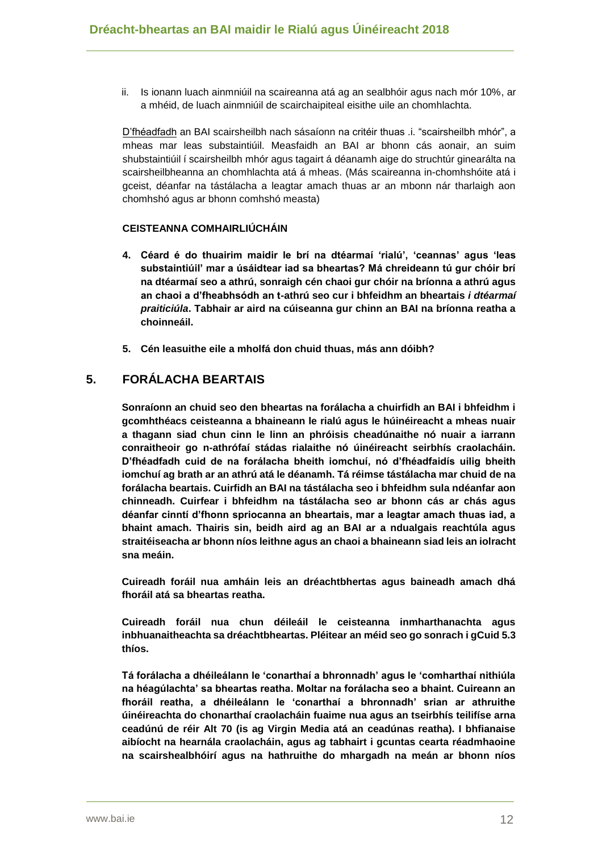ii. Is ionann luach ainmniúil na scaireanna atá ag an sealbhóir agus nach mór 10%, ar a mhéid, de luach ainmniúil de scairchaipiteal eisithe uile an chomhlachta.

D'fhéadfadh an BAI scairsheilbh nach sásaíonn na critéir thuas .i. "scairsheilbh mhór", a mheas mar leas substaintiúil. Measfaidh an BAI ar bhonn cás aonair, an suim shubstaintiúil í scairsheilbh mhór agus tagairt á déanamh aige do struchtúr ginearálta na scairsheilbheanna an chomhlachta atá á mheas. (Más scaireanna in-chomhshóite atá i gceist, déanfar na tástálacha a leagtar amach thuas ar an mbonn nár tharlaigh aon chomhshó agus ar bhonn comhshó measta)

#### **CEISTEANNA COMHAIRLIÚCHÁIN**

- **4. Céard é do thuairim maidir le brí na dtéarmaí 'rialú', 'ceannas' agus 'leas substaintiúil' mar a úsáidtear iad sa bheartas? Má chreideann tú gur chóir brí na dtéarmaí seo a athrú, sonraigh cén chaoi gur chóir na bríonna a athrú agus an chaoi a d'fheabhsódh an t-athrú seo cur i bhfeidhm an bheartais** *i dtéarmaí praiticiúla***. Tabhair ar aird na cúiseanna gur chinn an BAI na bríonna reatha a choinneáil.**
- **5. Cén leasuithe eile a mholfá don chuid thuas, más ann dóibh?**

## **5. FORÁLACHA BEARTAIS**

**Sonraíonn an chuid seo den bheartas na forálacha a chuirfidh an BAI i bhfeidhm i gcomhthéacs ceisteanna a bhaineann le rialú agus le húinéireacht a mheas nuair a thagann siad chun cinn le linn an phróisis cheadúnaithe nó nuair a iarrann conraitheoir go n-athrófaí stádas rialaithe nó úinéireacht seirbhís craolacháin. D'fhéadfadh cuid de na forálacha bheith iomchuí, nó d'fhéadfaidís uilig bheith iomchuí ag brath ar an athrú atá le déanamh. Tá réimse tástálacha mar chuid de na forálacha beartais. Cuirfidh an BAI na tástálacha seo i bhfeidhm sula ndéanfar aon chinneadh. Cuirfear i bhfeidhm na tástálacha seo ar bhonn cás ar chás agus déanfar cinntí d'fhonn spriocanna an bheartais, mar a leagtar amach thuas iad, a bhaint amach. Thairis sin, beidh aird ag an BAI ar a ndualgais reachtúla agus straitéiseacha ar bhonn níos leithne agus an chaoi a bhaineann siad leis an iolracht sna meáin.**

**Cuireadh foráil nua amháin leis an dréachtbhertas agus baineadh amach dhá fhoráil atá sa bheartas reatha.**

**Cuireadh foráil nua chun déileáil le ceisteanna inmharthanachta agus inbhuanaitheachta sa dréachtbheartas. Pléitear an méid seo go sonrach i gCuid 5.3 thíos.**

**Tá forálacha a dhéileálann le 'conarthaí a bhronnadh' agus le 'comharthaí nithiúla na héagúlachta' sa bheartas reatha. Moltar na forálacha seo a bhaint. Cuireann an fhoráil reatha, a dhéileálann le 'conarthaí a bhronnadh' srian ar athruithe úinéireachta do chonarthaí craolacháin fuaime nua agus an tseirbhís teilifíse arna ceadúnú de réir Alt 70 (is ag Virgin Media atá an ceadúnas reatha). I bhfianaise aibíocht na hearnála craolacháin, agus ag tabhairt i gcuntas cearta réadmhaoine na scairshealbhóirí agus na hathruithe do mhargadh na meán ar bhonn níos**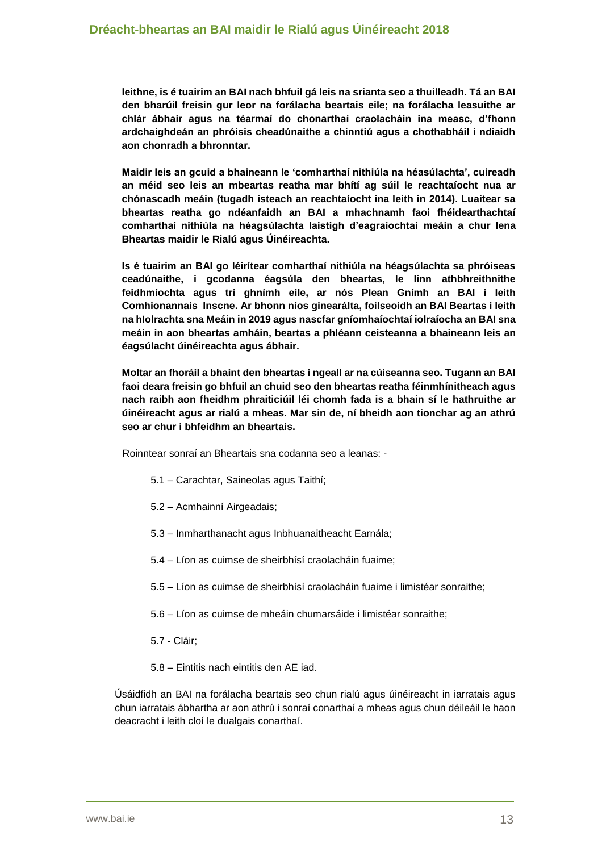**leithne, is é tuairim an BAI nach bhfuil gá leis na srianta seo a thuilleadh. Tá an BAI den bharúil freisin gur leor na forálacha beartais eile; na forálacha leasuithe ar chlár ábhair agus na téarmaí do chonarthaí craolacháin ina measc, d'fhonn ardchaighdeán an phróisis cheadúnaithe a chinntiú agus a chothabháil i ndiaidh aon chonradh a bhronntar.**

**Maidir leis an gcuid a bhaineann le 'comharthaí nithiúla na héasúlachta', cuireadh an méid seo leis an mbeartas reatha mar bhítí ag súil le reachtaíocht nua ar chónascadh meáin (tugadh isteach an reachtaíocht ina leith in 2014). Luaitear sa bheartas reatha go ndéanfaidh an BAI a mhachnamh faoi fhéidearthachtaí comharthaí nithiúla na héagsúlachta laistigh d'eagraíochtaí meáin a chur lena Bheartas maidir le Rialú agus Úinéireachta.**

**Is é tuairim an BAI go léirítear comharthaí nithiúla na héagsúlachta sa phróiseas ceadúnaithe, i gcodanna éagsúla den bheartas, le linn athbhreithnithe feidhmíochta agus trí ghnímh eile, ar nós Plean Gnímh an BAI i leith Comhionannais Inscne. Ar bhonn níos ginearálta, foilseoidh an BAI Beartas i leith na hIolrachta sna Meáin in 2019 agus nascfar gníomhaíochtaí iolraíocha an BAI sna meáin in aon bheartas amháin, beartas a phléann ceisteanna a bhaineann leis an éagsúlacht úinéireachta agus ábhair.**

**Moltar an fhoráil a bhaint den bheartas i ngeall ar na cúiseanna seo. Tugann an BAI faoi deara freisin go bhfuil an chuid seo den bheartas reatha féinmhínitheach agus nach raibh aon fheidhm phraiticiúil léi chomh fada is a bhain sí le hathruithe ar úinéireacht agus ar rialú a mheas. Mar sin de, ní bheidh aon tionchar ag an athrú seo ar chur i bhfeidhm an bheartais.**

Roinntear sonraí an Bheartais sna codanna seo a leanas: -

- 5.1 Carachtar, Saineolas agus Taithí;
- 5.2 Acmhainní Airgeadais;
- 5.3 Inmharthanacht agus Inbhuanaitheacht Earnála;
- 5.4 Líon as cuimse de sheirbhísí craolacháin fuaime;
- 5.5 Líon as cuimse de sheirbhísí craolacháin fuaime i limistéar sonraithe;
- 5.6 Líon as cuimse de mheáin chumarsáide i limistéar sonraithe;
- 5.7 Cláir;
- 5.8 Eintitis nach eintitis den AE iad.

Úsáidfidh an BAI na forálacha beartais seo chun rialú agus úinéireacht in iarratais agus chun iarratais ábhartha ar aon athrú i sonraí conarthaí a mheas agus chun déileáil le haon deacracht i leith cloí le dualgais conarthaí.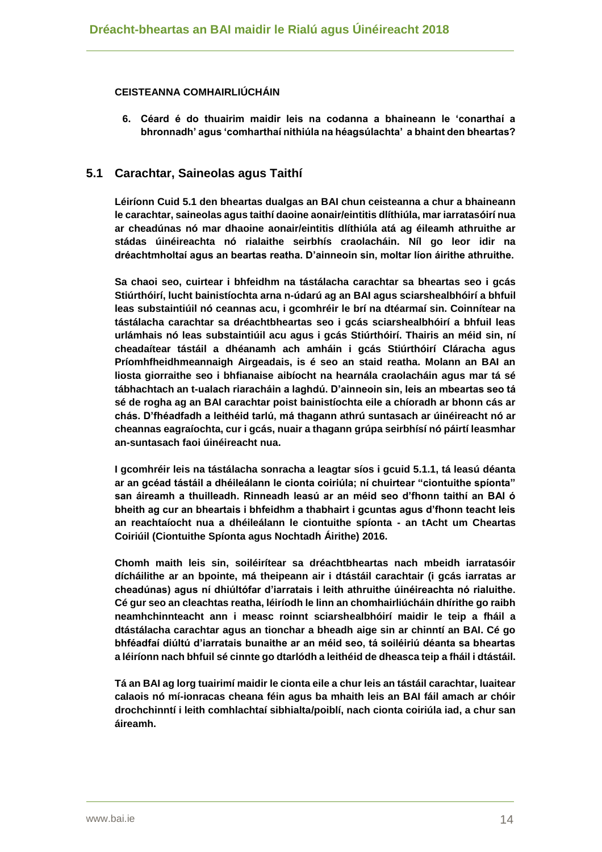#### **CEISTEANNA COMHAIRLIÚCHÁIN**

**6. Céard é do thuairim maidir leis na codanna a bhaineann le 'conarthaí a bhronnadh' agus 'comharthaí nithiúla na héagsúlachta' a bhaint den bheartas?** 

## **5.1 Carachtar, Saineolas agus Taithí**

**Léiríonn Cuid 5.1 den bheartas dualgas an BAI chun ceisteanna a chur a bhaineann le carachtar, saineolas agus taithí daoine aonair/eintitis dlíthiúla, mar iarratasóirí nua ar cheadúnas nó mar dhaoine aonair/eintitis dlíthiúla atá ag éileamh athruithe ar stádas úinéireachta nó rialaithe seirbhís craolacháin. Níl go leor idir na dréachtmholtaí agus an beartas reatha. D'ainneoin sin, moltar líon áirithe athruithe.** 

**Sa chaoi seo, cuirtear i bhfeidhm na tástálacha carachtar sa bheartas seo i gcás Stiúrthóirí, lucht bainistíochta arna n-údarú ag an BAI agus sciarshealbhóirí a bhfuil leas substaintiúil nó ceannas acu, i gcomhréir le brí na dtéarmaí sin. Coinnítear na tástálacha carachtar sa dréachtbheartas seo i gcás sciarshealbhóirí a bhfuil leas urlámhais nó leas substaintiúil acu agus i gcás Stiúrthóirí. Thairis an méid sin, ní cheadaítear tástáil a dhéanamh ach amháin i gcás Stiúrthóirí Cláracha agus Príomhfheidhmeannaigh Airgeadais, is é seo an staid reatha. Molann an BAI an liosta giorraithe seo i bhfianaise aibíocht na hearnála craolacháin agus mar tá sé tábhachtach an t-ualach riaracháin a laghdú. D'ainneoin sin, leis an mbeartas seo tá sé de rogha ag an BAI carachtar poist bainistíochta eile a chíoradh ar bhonn cás ar chás. D'fhéadfadh a leithéid tarlú, má thagann athrú suntasach ar úinéireacht nó ar cheannas eagraíochta, cur i gcás, nuair a thagann grúpa seirbhísí nó páirtí leasmhar an-suntasach faoi úinéireacht nua.**

**I gcomhréir leis na tástálacha sonracha a leagtar síos i gcuid 5.1.1, tá leasú déanta ar an gcéad tástáil a dhéileálann le cionta coiriúla; ní chuirtear "ciontuithe spíonta" san áireamh a thuilleadh. Rinneadh leasú ar an méid seo d'fhonn taithí an BAI ó bheith ag cur an bheartais i bhfeidhm a thabhairt i gcuntas agus d'fhonn teacht leis an reachtaíocht nua a dhéileálann le ciontuithe spíonta - an tAcht um Cheartas Coiriúil (Ciontuithe Spíonta agus Nochtadh Áirithe) 2016.**

**Chomh maith leis sin, soiléirítear sa dréachtbheartas nach mbeidh iarratasóir dícháilithe ar an bpointe, má theipeann air i dtástáil carachtair (i gcás iarratas ar cheadúnas) agus ní dhiúltófar d'iarratais i leith athruithe úinéireachta nó rialuithe. Cé gur seo an cleachtas reatha, léiríodh le linn an chomhairliúcháin dhírithe go raibh neamhchinnteacht ann i measc roinnt sciarshealbhóirí maidir le teip a fháil a dtástálacha carachtar agus an tionchar a bheadh aige sin ar chinntí an BAI. Cé go bhféadfaí diúltú d'iarratais bunaithe ar an méid seo, tá soiléiriú déanta sa bheartas a léiríonn nach bhfuil sé cinnte go dtarlódh a leithéid de dheasca teip a fháil i dtástáil.**

**Tá an BAI ag lorg tuairimí maidir le cionta eile a chur leis an tástáil carachtar, luaitear calaois nó mí-ionracas cheana féin agus ba mhaith leis an BAI fáil amach ar chóir drochchinntí i leith comhlachtaí sibhialta/poiblí, nach cionta coiriúla iad, a chur san áireamh.**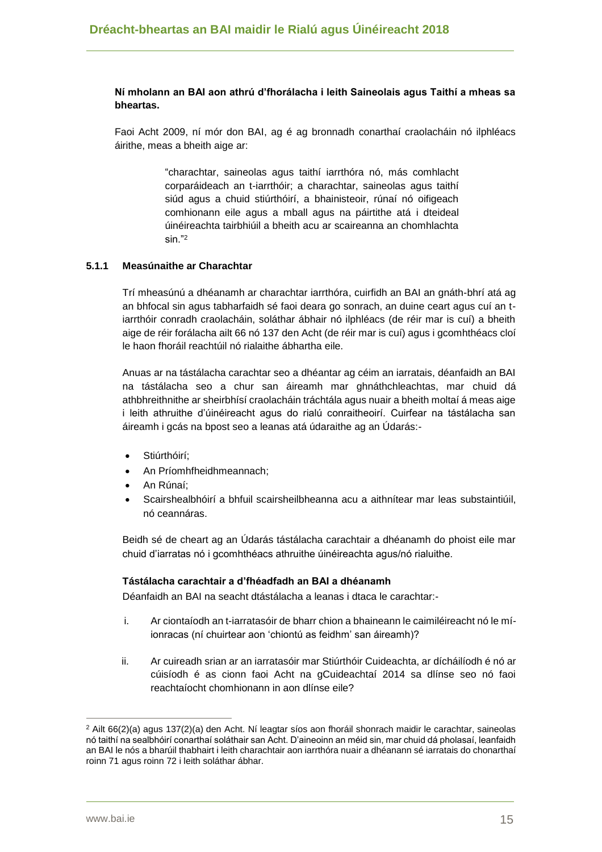#### **Ní mholann an BAI aon athrú d'fhorálacha i leith Saineolais agus Taithí a mheas sa bheartas.**

Faoi Acht 2009, ní mór don BAI, ag é ag bronnadh conarthaí craolacháin nó ilphléacs áirithe, meas a bheith aige ar:

> "charachtar, saineolas agus taithí iarrthóra nó, más comhlacht corparáideach an t-iarrthóir; a charachtar, saineolas agus taithí siúd agus a chuid stiúrthóirí, a bhainisteoir, rúnaí nó oifigeach comhionann eile agus a mball agus na páirtithe atá i dteideal úinéireachta tairbhiúil a bheith acu ar scaireanna an chomhlachta sin."<sup>2</sup>

#### **5.1.1 Measúnaithe ar Charachtar**

Trí mheasúnú a dhéanamh ar charachtar iarrthóra, cuirfidh an BAI an gnáth-bhrí atá ag an bhfocal sin agus tabharfaidh sé faoi deara go sonrach, an duine ceart agus cuí an tiarrthóir conradh craolacháin, soláthar ábhair nó ilphléacs (de réir mar is cuí) a bheith aige de réir forálacha ailt 66 nó 137 den Acht (de réir mar is cuí) agus i gcomhthéacs cloí le haon fhoráil reachtúil nó rialaithe ábhartha eile.

Anuas ar na tástálacha carachtar seo a dhéantar ag céim an iarratais, déanfaidh an BAI na tástálacha seo a chur san áireamh mar ghnáthchleachtas, mar chuid dá athbhreithnithe ar sheirbhísí craolacháin tráchtála agus nuair a bheith moltaí á meas aige i leith athruithe d'úinéireacht agus do rialú conraitheoirí. Cuirfear na tástálacha san áireamh i gcás na bpost seo a leanas atá údaraithe ag an Údarás:-

- Stiúrthóirí;
- An Príomhfheidhmeannach;
- An Rúnaí;
- Scairshealbhóirí a bhfuil scairsheilbheanna acu a aithnítear mar leas substaintiúil, nó ceannáras.

Beidh sé de cheart ag an Údarás tástálacha carachtair a dhéanamh do phoist eile mar chuid d'iarratas nó i gcomhthéacs athruithe úinéireachta agus/nó rialuithe.

#### **Tástálacha carachtair a d'fhéadfadh an BAI a dhéanamh**

Déanfaidh an BAI na seacht dtástálacha a leanas i dtaca le carachtar:-

- i. Ar ciontaíodh an t-iarratasóir de bharr chion a bhaineann le caimiléireacht nó le míionracas (ní chuirtear aon 'chiontú as feidhm' san áireamh)?
- ii. Ar cuireadh srian ar an iarratasóir mar Stiúrthóir Cuideachta, ar dícháilíodh é nó ar cúisíodh é as cionn faoi Acht na gCuideachtaí 2014 sa dlínse seo nó faoi reachtaíocht chomhionann in aon dlínse eile?

<sup>2</sup> Ailt 66(2)(a) agus 137(2)(a) den Acht. Ní leagtar síos aon fhoráil shonrach maidir le carachtar, saineolas nó taithí na sealbhóirí conarthaí soláthair san Acht. D'aineoinn an méid sin, mar chuid dá pholasaí, leanfaidh an BAI le nós a bharúil thabhairt i leith charachtair aon iarrthóra nuair a dhéanann sé iarratais do chonarthaí roinn 71 agus roinn 72 i leith soláthar ábhar.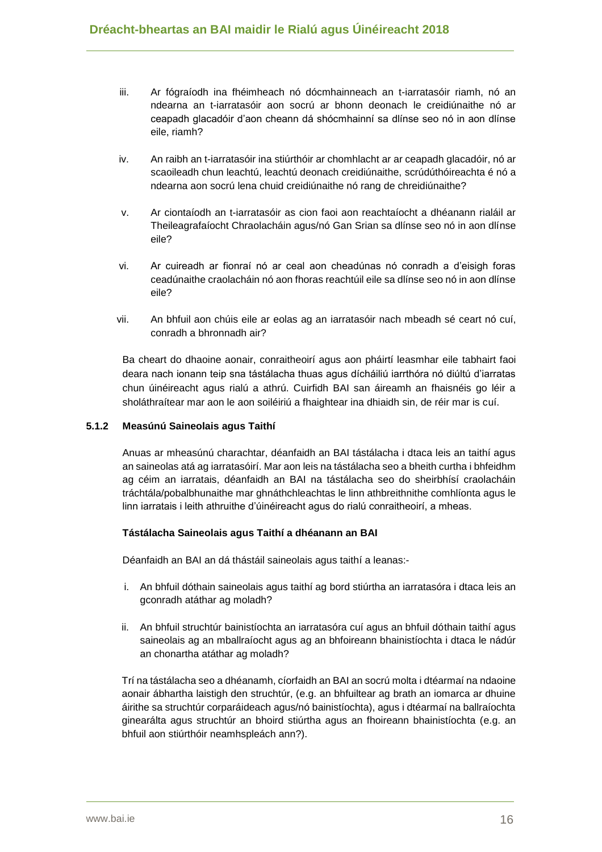- iii. Ar fógraíodh ina fhéimheach nó dócmhainneach an t-iarratasóir riamh, nó an ndearna an t-iarratasóir aon socrú ar bhonn deonach le creidiúnaithe nó ar ceapadh glacadóir d'aon cheann dá shócmhainní sa dlínse seo nó in aon dlínse eile, riamh?
- iv. An raibh an t-iarratasóir ina stiúrthóir ar chomhlacht ar ar ceapadh glacadóir, nó ar scaoileadh chun leachtú, leachtú deonach creidiúnaithe, scrúdúthóireachta é nó a ndearna aon socrú lena chuid creidiúnaithe nó rang de chreidiúnaithe?
- v. Ar ciontaíodh an t-iarratasóir as cion faoi aon reachtaíocht a dhéanann rialáil ar Theileagrafaíocht Chraolacháin agus/nó Gan Srian sa dlínse seo nó in aon dlínse eile?
- vi. Ar cuireadh ar fionraí nó ar ceal aon cheadúnas nó conradh a d'eisigh foras ceadúnaithe craolacháin nó aon fhoras reachtúil eile sa dlínse seo nó in aon dlínse eile?
- vii. An bhfuil aon chúis eile ar eolas ag an iarratasóir nach mbeadh sé ceart nó cuí, conradh a bhronnadh air?

Ba cheart do dhaoine aonair, conraitheoirí agus aon pháirtí leasmhar eile tabhairt faoi deara nach ionann teip sna tástálacha thuas agus dícháiliú iarrthóra nó diúltú d'iarratas chun úinéireacht agus rialú a athrú. Cuirfidh BAI san áireamh an fhaisnéis go léir a sholáthraítear mar aon le aon soiléiriú a fhaightear ina dhiaidh sin, de réir mar is cuí.

#### **5.1.2 Measúnú Saineolais agus Taithí**

Anuas ar mheasúnú charachtar, déanfaidh an BAI tástálacha i dtaca leis an taithí agus an saineolas atá ag iarratasóirí. Mar aon leis na tástálacha seo a bheith curtha i bhfeidhm ag céim an iarratais, déanfaidh an BAI na tástálacha seo do sheirbhísí craolacháin tráchtála/pobalbhunaithe mar ghnáthchleachtas le linn athbreithnithe comhlíonta agus le linn iarratais i leith athruithe d'úinéireacht agus do rialú conraitheoirí, a mheas.

#### **Tástálacha Saineolais agus Taithí a dhéanann an BAI**

Déanfaidh an BAI an dá thástáil saineolais agus taithí a leanas:-

- i. An bhfuil dóthain saineolais agus taithí ag bord stiúrtha an iarratasóra i dtaca leis an gconradh atáthar ag moladh?
- ii. An bhfuil struchtúr bainistíochta an iarratasóra cuí agus an bhfuil dóthain taithí agus saineolais ag an mballraíocht agus ag an bhfoireann bhainistíochta i dtaca le nádúr an chonartha atáthar ag moladh?

Trí na tástálacha seo a dhéanamh, cíorfaidh an BAI an socrú molta i dtéarmaí na ndaoine aonair ábhartha laistigh den struchtúr, (e.g. an bhfuiltear ag brath an iomarca ar dhuine áirithe sa struchtúr corparáideach agus/nó bainistíochta), agus i dtéarmaí na ballraíochta ginearálta agus struchtúr an bhoird stiúrtha agus an fhoireann bhainistíochta (e.g. an bhfuil aon stiúrthóir neamhspleách ann?).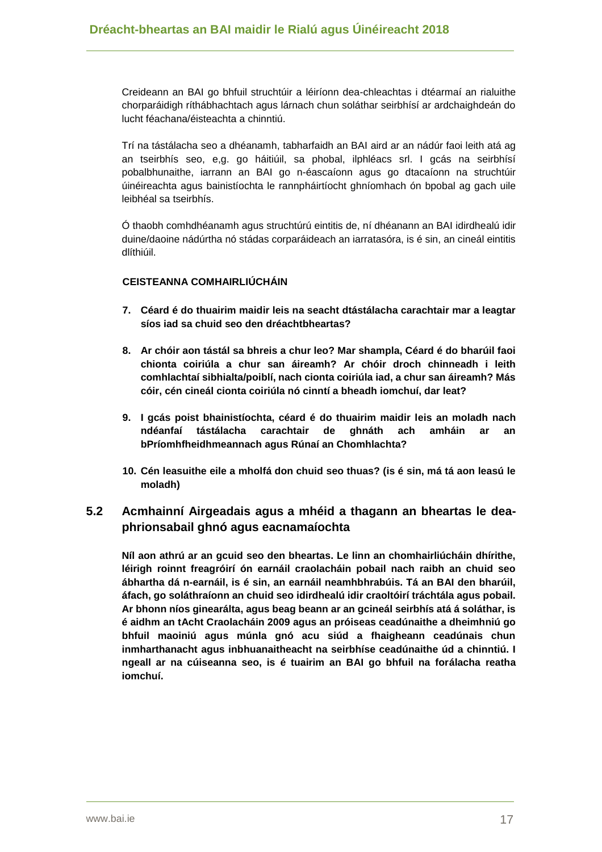Creideann an BAI go bhfuil struchtúir a léiríonn dea-chleachtas i dtéarmaí an rialuithe chorparáidigh ríthábhachtach agus lárnach chun soláthar seirbhísí ar ardchaighdeán do lucht féachana/éisteachta a chinntiú.

Trí na tástálacha seo a dhéanamh, tabharfaidh an BAI aird ar an nádúr faoi leith atá ag an tseirbhís seo, e,g. go háitiúil, sa phobal, ilphléacs srl. I gcás na seirbhísí pobalbhunaithe, iarrann an BAI go n-éascaíonn agus go dtacaíonn na struchtúir úinéireachta agus bainistíochta le rannpháirtíocht ghníomhach ón bpobal ag gach uile leibhéal sa tseirbhís.

Ó thaobh comhdhéanamh agus struchtúrú eintitis de, ní dhéanann an BAI idirdhealú idir duine/daoine nádúrtha nó stádas corparáideach an iarratasóra, is é sin, an cineál eintitis dlíthiúil.

#### **CEISTEANNA COMHAIRLIÚCHÁIN**

- **7. Céard é do thuairim maidir leis na seacht dtástálacha carachtair mar a leagtar síos iad sa chuid seo den dréachtbheartas?**
- **8. Ar chóir aon tástál sa bhreis a chur leo? Mar shampla, Céard é do bharúil faoi chionta coiriúla a chur san áireamh? Ar chóir droch chinneadh i leith comhlachtaí sibhialta/poiblí, nach cionta coiriúla iad, a chur san áireamh? Más cóir, cén cineál cionta coiriúla nó cinntí a bheadh iomchuí, dar leat?**
- **9. I gcás poist bhainistíochta, céard é do thuairim maidir leis an moladh nach ndéanfaí tástálacha carachtair de ghnáth ach amháin ar an bPríomhfheidhmeannach agus Rúnaí an Chomhlachta?**
- **10. Cén leasuithe eile a mholfá don chuid seo thuas? (is é sin, má tá aon leasú le moladh)**

# **5.2 Acmhainní Airgeadais agus a mhéid a thagann an bheartas le deaphrionsabail ghnó agus eacnamaíochta**

**Níl aon athrú ar an gcuid seo den bheartas. Le linn an chomhairliúcháin dhírithe, léirigh roinnt freagróirí ón earnáil craolacháin pobail nach raibh an chuid seo ábhartha dá n-earnáil, is é sin, an earnáil neamhbhrabúis. Tá an BAI den bharúil, áfach, go soláthraíonn an chuid seo idirdhealú idir craoltóirí tráchtála agus pobail. Ar bhonn níos ginearálta, agus beag beann ar an gcineál seirbhís atá á soláthar, is é aidhm an tAcht Craolacháin 2009 agus an próiseas ceadúnaithe a dheimhniú go bhfuil maoiniú agus múnla gnó acu siúd a fhaigheann ceadúnais chun inmharthanacht agus inbhuanaitheacht na seirbhíse ceadúnaithe úd a chinntiú. I ngeall ar na cúiseanna seo, is é tuairim an BAI go bhfuil na forálacha reatha iomchuí.**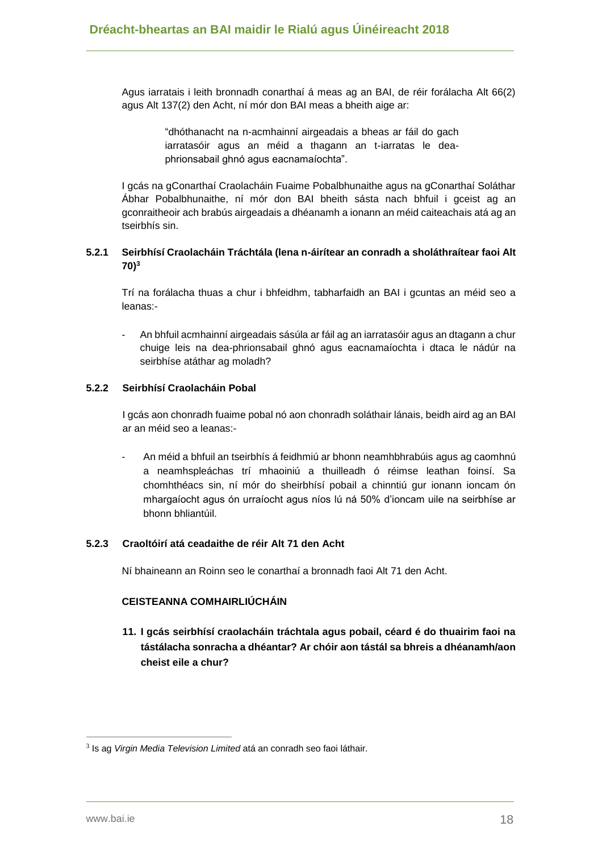Agus iarratais i leith bronnadh conarthaí á meas ag an BAI, de réir forálacha Alt 66(2) agus Alt 137(2) den Acht, ní mór don BAI meas a bheith aige ar:

> "dhóthanacht na n-acmhainní airgeadais a bheas ar fáil do gach iarratasóir agus an méid a thagann an t-iarratas le deaphrionsabail ghnó agus eacnamaíochta".

I gcás na gConarthaí Craolacháin Fuaime Pobalbhunaithe agus na gConarthaí Soláthar Ábhar Pobalbhunaithe, ní mór don BAI bheith sásta nach bhfuil i gceist ag an gconraitheoir ach brabús airgeadais a dhéanamh a ionann an méid caiteachais atá ag an tseirbhís sin.

### **5.2.1 Seirbhísí Craolacháin Tráchtála (lena n-áirítear an conradh a sholáthraítear faoi Alt 70)<sup>3</sup>**

Trí na forálacha thuas a chur i bhfeidhm, tabharfaidh an BAI i gcuntas an méid seo a leanas:-

- An bhfuil acmhainní airgeadais sásúla ar fáil ag an iarratasóir agus an dtagann a chur chuige leis na dea-phrionsabail ghnó agus eacnamaíochta i dtaca le nádúr na seirbhíse atáthar ag moladh?

#### **5.2.2 Seirbhísí Craolacháin Pobal**

I gcás aon chonradh fuaime pobal nó aon chonradh soláthair lánais, beidh aird ag an BAI ar an méid seo a leanas:-

- An méid a bhfuil an tseirbhís á feidhmiú ar bhonn neamhbhrabúis agus ag caomhnú a neamhspleáchas trí mhaoiniú a thuilleadh ó réimse leathan foinsí. Sa chomhthéacs sin, ní mór do sheirbhísí pobail a chinntiú gur ionann ioncam ón mhargaíocht agus ón urraíocht agus níos lú ná 50% d'ioncam uile na seirbhíse ar bhonn bhliantúil.

#### **5.2.3 Craoltóirí atá ceadaithe de réir Alt 71 den Acht**

Ní bhaineann an Roinn seo le conarthaí a bronnadh faoi Alt 71 den Acht.

#### **CEISTEANNA COMHAIRLIÚCHÁIN**

**11. I gcás seirbhísí craolacháin tráchtala agus pobail, céard é do thuairim faoi na tástálacha sonracha a dhéantar? Ar chóir aon tástál sa bhreis a dhéanamh/aon cheist eile a chur?**

<sup>3</sup> Is ag *Virgin Media Television Limited* atá an conradh seo faoi láthair.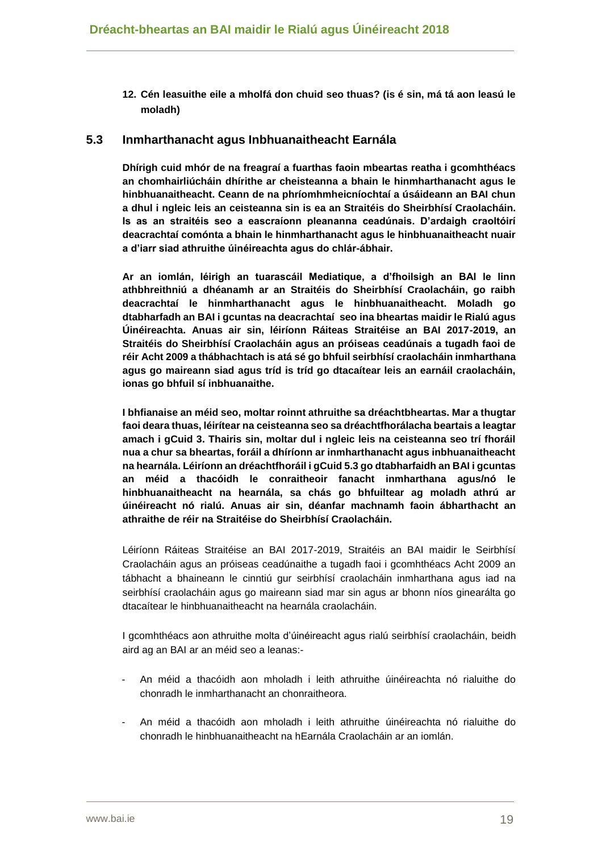**12. Cén leasuithe eile a mholfá don chuid seo thuas? (is é sin, má tá aon leasú le moladh)**

## **5.3 Inmharthanacht agus Inbhuanaitheacht Earnála**

**Dhírigh cuid mhór de na freagraí a fuarthas faoin mbeartas reatha i gcomhthéacs an chomhairliúcháin dhírithe ar cheisteanna a bhain le hinmharthanacht agus le hinbhuanaitheacht. Ceann de na phríomhmheicníochtaí a úsáideann an BAI chun a dhul i ngleic leis an ceisteanna sin is ea an Straitéis do Sheirbhísí Craolacháin. Is as an straitéis seo a eascraíonn pleananna ceadúnais. D'ardaigh craoltóirí deacrachtaí comónta a bhain le hinmharthanacht agus le hinbhuanaitheacht nuair a d'iarr siad athruithe úinéireachta agus do chlár-ábhair.**

**Ar an iomlán, léirigh an tuarascáil Mediatique, a d'fhoilsigh an BAI le linn athbhreithniú a dhéanamh ar an Straitéis do Sheirbhísí Craolacháin, go raibh deacrachtaí le hinmharthanacht agus le hinbhuanaitheacht. Moladh go dtabharfadh an BAI i gcuntas na deacrachtaí seo ina bheartas maidir le Rialú agus Úinéireachta. Anuas air sin, léiríonn Ráiteas Straitéise an BAI 2017-2019, an Straitéis do Sheirbhísí Craolacháin agus an próiseas ceadúnais a tugadh faoi de réir Acht 2009 a thábhachtach is atá sé go bhfuil seirbhísí craolacháin inmharthana agus go maireann siad agus tríd is tríd go dtacaítear leis an earnáil craolacháin, ionas go bhfuil sí inbhuanaithe.**

**I bhfianaise an méid seo, moltar roinnt athruithe sa dréachtbheartas. Mar a thugtar faoi deara thuas, léirítear na ceisteanna seo sa dréachtfhorálacha beartais a leagtar amach i gCuid 3. Thairis sin, moltar dul i ngleic leis na ceisteanna seo trí fhoráil nua a chur sa bheartas, foráil a dhíríonn ar inmharthanacht agus inbhuanaitheacht na hearnála. Léiríonn an dréachtfhoráil i gCuid 5.3 go dtabharfaidh an BAI i gcuntas an méid a thacóidh le conraitheoir fanacht inmharthana agus/nó le hinbhuanaitheacht na hearnála, sa chás go bhfuiltear ag moladh athrú ar úinéireacht nó rialú. Anuas air sin, déanfar machnamh faoin ábharthacht an athraithe de réir na Straitéise do Sheirbhísí Craolacháin.**

Léiríonn Ráiteas Straitéise an BAI 2017-2019, Straitéis an BAI maidir le Seirbhísí Craolacháin agus an próiseas ceadúnaithe a tugadh faoi i gcomhthéacs Acht 2009 an tábhacht a bhaineann le cinntiú gur seirbhísí craolacháin inmharthana agus iad na seirbhísí craolacháin agus go maireann siad mar sin agus ar bhonn níos ginearálta go dtacaítear le hinbhuanaitheacht na hearnála craolacháin.

I gcomhthéacs aon athruithe molta d'úinéireacht agus rialú seirbhísí craolacháin, beidh aird ag an BAI ar an méid seo a leanas:-

- An méid a thacóidh aon mholadh i leith athruithe úinéireachta nó rialuithe do chonradh le inmharthanacht an chonraitheora.
- An méid a thacóidh aon mholadh i leith athruithe úinéireachta nó rialuithe do chonradh le hinbhuanaitheacht na hEarnála Craolacháin ar an iomlán.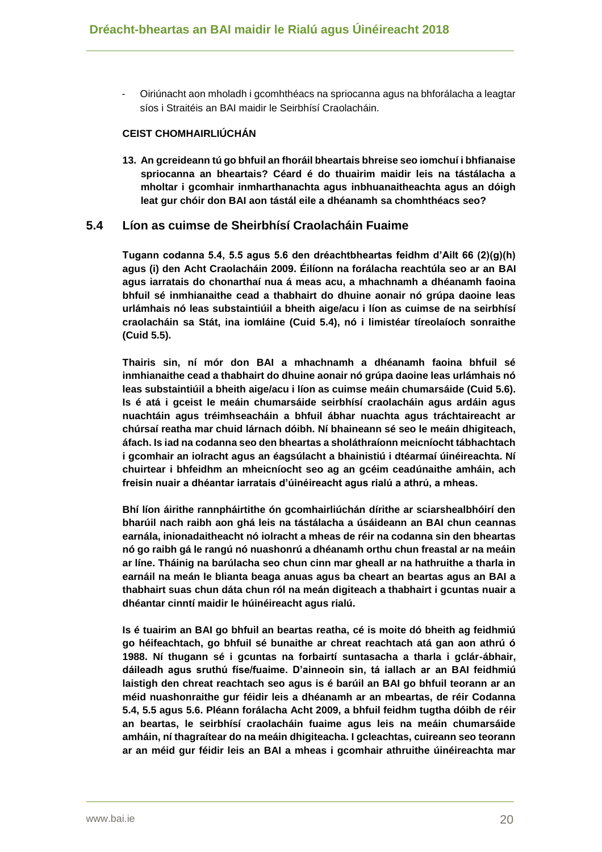- Oiriúnacht aon mholadh i gcomhthéacs na spriocanna agus na bhforálacha a leagtar síos i Straitéis an BAI maidir le Seirbhísí Craolacháin.

## **CEIST CHOMHAIRLIÚCHÁN**

**13. An gcreideann tú go bhfuil an fhoráil bheartais bhreise seo iomchuí i bhfianaise spriocanna an bheartais? Céard é do thuairim maidir leis na tástálacha a mholtar i gcomhair inmharthanachta agus inbhuanaitheachta agus an dóigh leat gur chóir don BAI aon tástál eile a dhéanamh sa chomhthéacs seo?**

## **5.4 Líon as cuimse de Sheirbhísí Craolacháin Fuaime**

**Tugann codanna 5.4, 5.5 agus 5.6 den dréachtbheartas feidhm d'Ailt 66 (2)(g)(h) agus (i) den Acht Craolacháin 2009. Éilíonn na forálacha reachtúla seo ar an BAI agus iarratais do chonarthaí nua á meas acu, a mhachnamh a dhéanamh faoina bhfuil sé inmhianaithe cead a thabhairt do dhuine aonair nó grúpa daoine leas urlámhais nó leas substaintiúil a bheith aige/acu i líon as cuimse de na seirbhísí craolacháin sa Stát, ina iomláine (Cuid 5.4), nó i limistéar tíreolaíoch sonraithe (Cuid 5.5).**

**Thairis sin, ní mór don BAI a mhachnamh a dhéanamh faoina bhfuil sé inmhianaithe cead a thabhairt do dhuine aonair nó grúpa daoine leas urlámhais nó leas substaintiúil a bheith aige/acu i líon as cuimse meáin chumarsáide (Cuid 5.6). Is é atá i gceist le meáin chumarsáide seirbhísí craolacháin agus ardáin agus nuachtáin agus tréimhseacháin a bhfuil ábhar nuachta agus tráchtaireacht ar chúrsaí reatha mar chuid lárnach dóibh. Ní bhaineann sé seo le meáin dhigiteach, áfach. Is iad na codanna seo den bheartas a sholáthraíonn meicníocht tábhachtach i gcomhair an iolracht agus an éagsúlacht a bhainistiú i dtéarmaí úinéireachta. Ní chuirtear i bhfeidhm an mheicníocht seo ag an gcéim ceadúnaithe amháin, ach freisin nuair a dhéantar iarratais d'úinéireacht agus rialú a athrú, a mheas.**

**Bhí líon áirithe rannpháirtithe ón gcomhairliúchán dírithe ar sciarshealbhóirí den bharúil nach raibh aon ghá leis na tástálacha a úsáideann an BAI chun ceannas earnála, inionadaitheacht nó iolracht a mheas de réir na codanna sin den bheartas nó go raibh gá le rangú nó nuashonrú a dhéanamh orthu chun freastal ar na meáin ar líne. Tháinig na barúlacha seo chun cinn mar gheall ar na hathruithe a tharla in earnáil na meán le blianta beaga anuas agus ba cheart an beartas agus an BAI a thabhairt suas chun dáta chun ról na meán digiteach a thabhairt i gcuntas nuair a dhéantar cinntí maidir le húinéireacht agus rialú.**

**Is é tuairim an BAI go bhfuil an beartas reatha, cé is moite dó bheith ag feidhmiú go héifeachtach, go bhfuil sé bunaithe ar chreat reachtach atá gan aon athrú ó 1988. Ní thugann sé i gcuntas na forbairtí suntasacha a tharla i gclár-ábhair, dáileadh agus sruthú físe/fuaime. D'ainneoin sin, tá iallach ar an BAI feidhmiú laistigh den chreat reachtach seo agus is é barúil an BAI go bhfuil teorann ar an méid nuashonraithe gur féidir leis a dhéanamh ar an mbeartas, de réir Codanna 5.4, 5.5 agus 5.6. Pléann forálacha Acht 2009, a bhfuil feidhm tugtha dóibh de réir an beartas, le seirbhísí craolacháin fuaime agus leis na meáin chumarsáide amháin, ní thagraítear do na meáin dhigiteacha. I gcleachtas, cuireann seo teorann ar an méid gur féidir leis an BAI a mheas i gcomhair athruithe úinéireachta mar**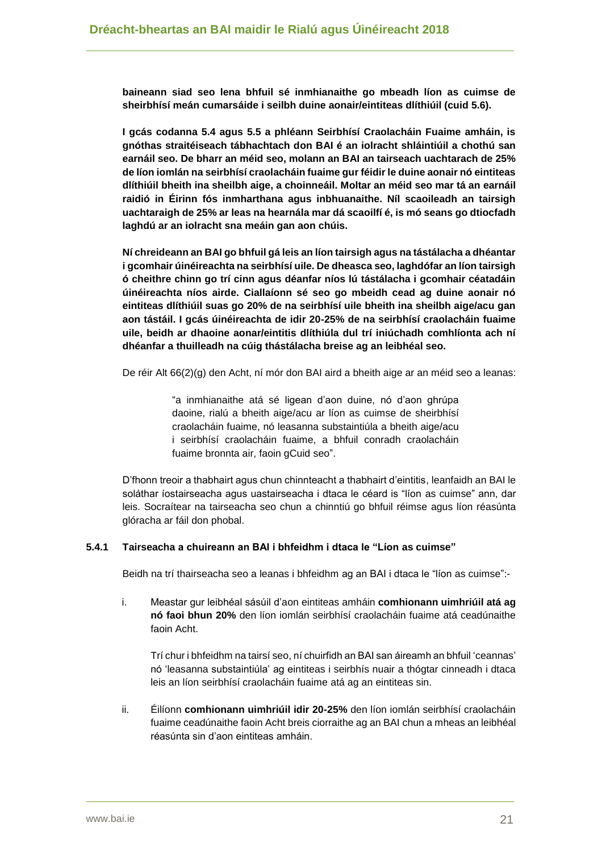**baineann siad seo lena bhfuil sé inmhianaithe go mbeadh líon as cuimse de sheirbhísí meán cumarsáide i seilbh duine aonair/eintiteas dlíthiúil (cuid 5.6).** 

**I gcás codanna 5.4 agus 5.5 a phléann Seirbhísí Craolacháin Fuaime amháin, is gnóthas straitéiseach tábhachtach don BAI é an iolracht shláintiúil a chothú san earnáil seo. De bharr an méid seo, molann an BAI an tairseach uachtarach de 25% de líon iomlán na seirbhísí craolacháin fuaime gur féidir le duine aonair nó eintiteas dlíthiúil bheith ina sheilbh aige, a choinneáil. Moltar an méid seo mar tá an earnáil raidió in Éirinn fós inmharthana agus inbhuanaithe. Níl scaoileadh an tairsigh uachtaraigh de 25% ar leas na hearnála mar dá scaoilfí é, is mó seans go dtiocfadh laghdú ar an iolracht sna meáin gan aon chúis.**

**Ní chreideann an BAI go bhfuil gá leis an líon tairsigh agus na tástálacha a dhéantar i gcomhair úinéireachta na seirbhísí uile. De dheasca seo, laghdófar an líon tairsigh ó cheithre chinn go trí cinn agus déanfar níos lú tástálacha i gcomhair céatadáin úinéireachta níos airde. Ciallaíonn sé seo go mbeidh cead ag duine aonair nó eintiteas dlíthiúil suas go 20% de na seirbhísí uile bheith ina sheilbh aige/acu gan aon tástáil. I gcás úinéireachta de idir 20-25% de na seirbhísí craolacháin fuaime uile, beidh ar dhaoine aonar/eintitis dlíthiúla dul trí iniúchadh comhlíonta ach ní dhéanfar a thuilleadh na cúig thástálacha breise ag an leibhéal seo.** 

De réir Alt 66(2)(g) den Acht, ní mór don BAI aird a bheith aige ar an méid seo a leanas:

"a inmhianaithe atá sé ligean d'aon duine, nó d'aon ghrúpa daoine, rialú a bheith aige/acu ar líon as cuimse de sheirbhísí craolacháin fuaime, nó leasanna substaintiúla a bheith aige/acu i seirbhísí craolacháin fuaime, a bhfuil conradh craolacháin fuaime bronnta air, faoin gCuid seo".

D'fhonn treoir a thabhairt agus chun chinnteacht a thabhairt d'eintitis, leanfaidh an BAI le soláthar íostairseacha agus uastairseacha i dtaca le céard is "líon as cuimse" ann, dar leis. Socraítear na tairseacha seo chun a chinntiú go bhfuil réimse agus líon réasúnta glóracha ar fáil don phobal.

#### **5.4.1 Tairseacha a chuireann an BAI i bhfeidhm i dtaca le "Líon as cuimse"**

Beidh na trí thairseacha seo a leanas i bhfeidhm ag an BAI i dtaca le "líon as cuimse":-

i. Meastar gur leibhéal sásúil d'aon eintiteas amháin **comhionann uimhriúil atá ag nó faoi bhun 20%** den líon iomlán seirbhísí craolacháin fuaime atá ceadúnaithe faoin Acht.

Trí chur i bhfeidhm na tairsí seo, ní chuirfidh an BAI san áireamh an bhfuil 'ceannas' nó 'leasanna substaintiúla' ag eintiteas i seirbhís nuair a thógtar cinneadh i dtaca leis an líon seirbhísí craolacháin fuaime atá ag an eintiteas sin.

ii. Éilíonn **comhionann uimhriúil idir 20-25%** den líon iomlán seirbhísí craolacháin fuaime ceadúnaithe faoin Acht breis ciorraithe ag an BAI chun a mheas an leibhéal réasúnta sin d'aon eintiteas amháin.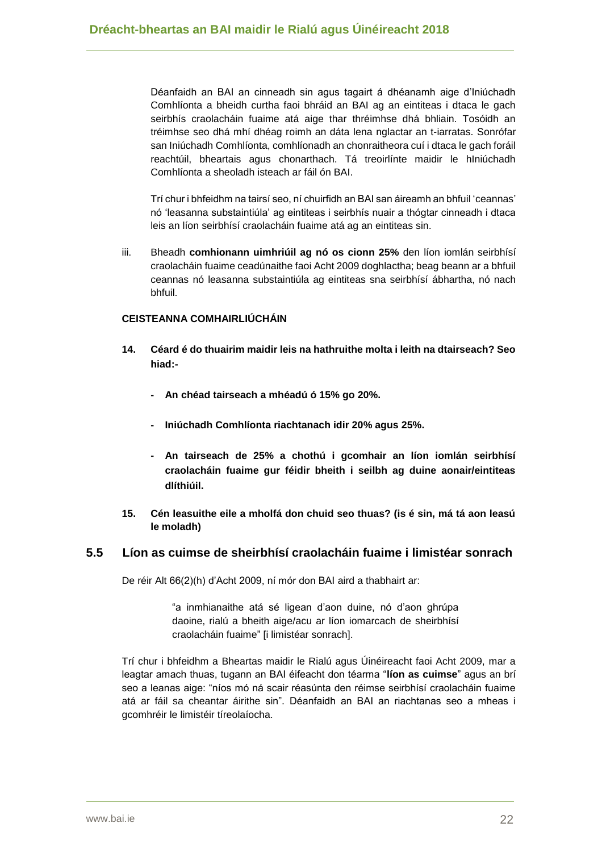Déanfaidh an BAI an cinneadh sin agus tagairt á dhéanamh aige d'Iniúchadh Comhlíonta a bheidh curtha faoi bhráid an BAI ag an eintiteas i dtaca le gach seirbhís craolacháin fuaime atá aige thar thréimhse dhá bhliain. Tosóidh an tréimhse seo dhá mhí dhéag roimh an dáta lena nglactar an t-iarratas. Sonrófar san Iniúchadh Comhlíonta, comhlíonadh an chonraitheora cuí i dtaca le gach foráil reachtúil, bheartais agus chonarthach. Tá treoirlínte maidir le hIniúchadh Comhlíonta a sheoladh isteach ar fáil ón BAI.

Trí chur i bhfeidhm na tairsí seo, ní chuirfidh an BAI san áireamh an bhfuil 'ceannas' nó 'leasanna substaintiúla' ag eintiteas i seirbhís nuair a thógtar cinneadh i dtaca leis an líon seirbhísí craolacháin fuaime atá ag an eintiteas sin.

iii. Bheadh **comhionann uimhriúil ag nó os cionn 25%** den líon iomlán seirbhísí craolacháin fuaime ceadúnaithe faoi Acht 2009 doghlactha; beag beann ar a bhfuil ceannas nó leasanna substaintiúla ag eintiteas sna seirbhísí ábhartha, nó nach bhfuil.

#### **CEISTEANNA COMHAIRLIÚCHÁIN**

- **14. Céard é do thuairim maidir leis na hathruithe molta i leith na dtairseach? Seo hiad:-**
	- **- An chéad tairseach a mhéadú ó 15% go 20%.**
	- **- Iniúchadh Comhlíonta riachtanach idir 20% agus 25%.**
	- **- An tairseach de 25% a chothú i gcomhair an líon iomlán seirbhísí craolacháin fuaime gur féidir bheith i seilbh ag duine aonair/eintiteas dlíthiúil.**
- **15. Cén leasuithe eile a mholfá don chuid seo thuas? (is é sin, má tá aon leasú le moladh)**

## **5.5 Líon as cuimse de sheirbhísí craolacháin fuaime i limistéar sonrach**

De réir Alt 66(2)(h) d'Acht 2009, ní mór don BAI aird a thabhairt ar:

"a inmhianaithe atá sé ligean d'aon duine, nó d'aon ghrúpa daoine, rialú a bheith aige/acu ar líon iomarcach de sheirbhísí craolacháin fuaime" [i limistéar sonrach].

Trí chur i bhfeidhm a Bheartas maidir le Rialú agus Úinéireacht faoi Acht 2009, mar a leagtar amach thuas, tugann an BAI éifeacht don téarma "**líon as cuimse**" agus an brí seo a leanas aige: "níos mó ná scair réasúnta den réimse seirbhísí craolacháin fuaime atá ar fáil sa cheantar áirithe sin". Déanfaidh an BAI an riachtanas seo a mheas i gcomhréir le limistéir tíreolaíocha.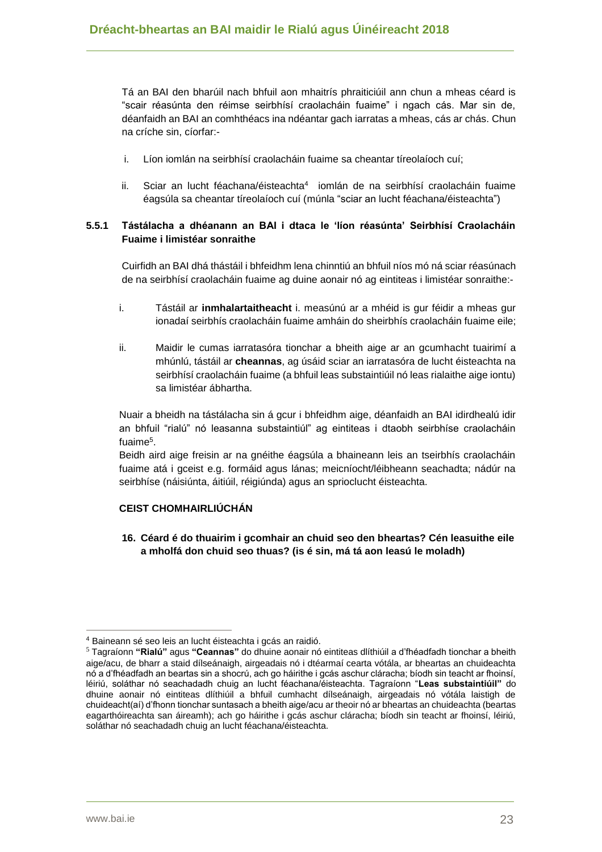Tá an BAI den bharúil nach bhfuil aon mhaitrís phraiticiúil ann chun a mheas céard is "scair réasúnta den réimse seirbhísí craolacháin fuaime" i ngach cás. Mar sin de, déanfaidh an BAI an comhthéacs ina ndéantar gach iarratas a mheas, cás ar chás. Chun na críche sin, cíorfar:-

- i. Líon iomlán na seirbhísí craolacháin fuaime sa cheantar tíreolaíoch cuí;
- ii. Sciar an lucht féachana/éisteachta<sup>4</sup> iomlán de na seirbhísí craolacháin fuaime éagsúla sa cheantar tíreolaíoch cuí (múnla "sciar an lucht féachana/éisteachta")

### **5.5.1 Tástálacha a dhéanann an BAI i dtaca le 'líon réasúnta' Seirbhísí Craolacháin Fuaime i limistéar sonraithe**

Cuirfidh an BAI dhá thástáil i bhfeidhm lena chinntiú an bhfuil níos mó ná sciar réasúnach de na seirbhísí craolacháin fuaime ag duine aonair nó ag eintiteas i limistéar sonraithe:-

- i. Tástáil ar **inmhalartaitheacht** i. measúnú ar a mhéid is gur féidir a mheas gur ionadaí seirbhís craolacháin fuaime amháin do sheirbhís craolacháin fuaime eile;
- ii. Maidir le cumas iarratasóra tionchar a bheith aige ar an gcumhacht tuairimí a mhúnlú, tástáil ar **cheannas**, ag úsáid sciar an iarratasóra de lucht éisteachta na seirbhísí craolacháin fuaime (a bhfuil leas substaintiúil nó leas rialaithe aige iontu) sa limistéar ábhartha.

Nuair a bheidh na tástálacha sin á gcur i bhfeidhm aige, déanfaidh an BAI idirdhealú idir an bhfuil "rialú" nó leasanna substaintiúl" ag eintiteas i dtaobh seirbhíse craolacháin fuaime<sup>5</sup> .

Beidh aird aige freisin ar na gnéithe éagsúla a bhaineann leis an tseirbhís craolacháin fuaime atá i gceist e.g. formáid agus lánas; meicníocht/léibheann seachadta; nádúr na seirbhíse (náisiúnta, áitiúil, réigiúnda) agus an sprioclucht éisteachta.

## **CEIST CHOMHAIRLIÚCHÁN**

**16. Céard é do thuairim i gcomhair an chuid seo den bheartas? Cén leasuithe eile a mholfá don chuid seo thuas? (is é sin, má tá aon leasú le moladh)**

 $\overline{a}$ <sup>4</sup> Baineann sé seo leis an lucht éisteachta i gcás an raidió.

<sup>5</sup> Tagraíonn **"Rialú"** agus **"Ceannas"** do dhuine aonair nó eintiteas dlíthiúil a d'fhéadfadh tionchar a bheith aige/acu, de bharr a staid dílseánaigh, airgeadais nó i dtéarmaí cearta vótála, ar bheartas an chuideachta nó a d'fhéadfadh an beartas sin a shocrú, ach go háirithe i gcás aschur cláracha; bíodh sin teacht ar fhoinsí, léiriú, soláthar nó seachadadh chuig an lucht féachana/éisteachta. Tagraíonn "**Leas substaintiúil"** do dhuine aonair nó eintiteas dlíthiúil a bhfuil cumhacht dílseánaigh, airgeadais nó vótála laistigh de chuideacht(aí) d'fhonn tionchar suntasach a bheith aige/acu ar theoir nó ar bheartas an chuideachta (beartas eagarthóireachta san áireamh); ach go háirithe i gcás aschur cláracha; bíodh sin teacht ar fhoinsí, léiriú, soláthar nó seachadadh chuig an lucht féachana/éisteachta.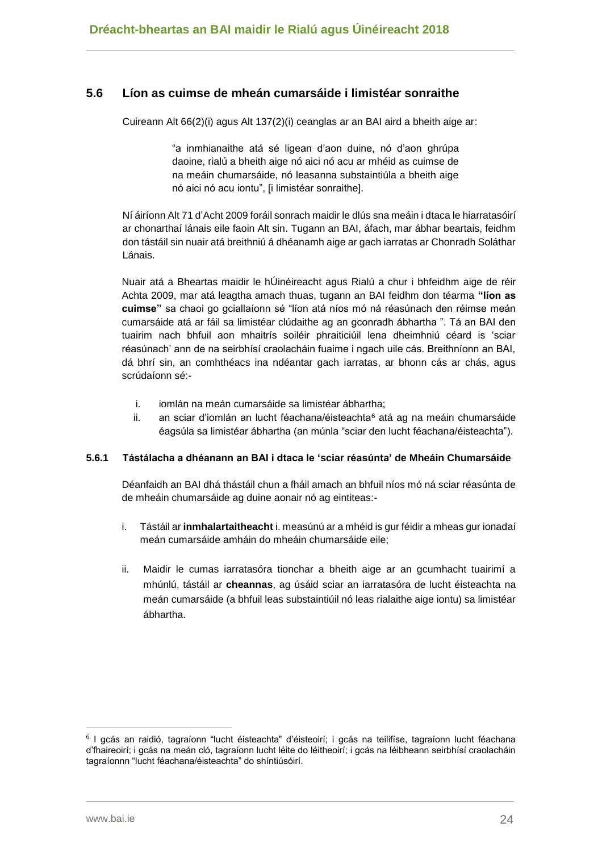## **5.6 Líon as cuimse de mheán cumarsáide i limistéar sonraithe**

Cuireann Alt 66(2)(i) agus Alt 137(2)(i) ceanglas ar an BAI aird a bheith aige ar:

"a inmhianaithe atá sé ligean d'aon duine, nó d'aon ghrúpa daoine, rialú a bheith aige nó aici nó acu ar mhéid as cuimse de na meáin chumarsáide, nó leasanna substaintiúla a bheith aige nó aici nó acu iontu", [i limistéar sonraithe].

Ní áiríonn Alt 71 d'Acht 2009 foráil sonrach maidir le dlús sna meáin i dtaca le hiarratasóirí ar chonarthaí lánais eile faoin Alt sin. Tugann an BAI, áfach, mar ábhar beartais, feidhm don tástáil sin nuair atá breithniú á dhéanamh aige ar gach iarratas ar Chonradh Soláthar Lánais.

Nuair atá a Bheartas maidir le hÚinéireacht agus Rialú a chur i bhfeidhm aige de réir Achta 2009, mar atá leagtha amach thuas, tugann an BAI feidhm don téarma **"líon as cuimse"** sa chaoi go gciallaíonn sé "líon atá níos mó ná réasúnach den réimse meán cumarsáide atá ar fáil sa limistéar clúdaithe ag an gconradh ábhartha ". Tá an BAI den tuairim nach bhfuil aon mhaitrís soiléir phraiticiúil lena dheimhniú céard is 'sciar réasúnach' ann de na seirbhísí craolacháin fuaime i ngach uile cás. Breithníonn an BAI, dá bhrí sin, an comhthéacs ina ndéantar gach iarratas, ar bhonn cás ar chás, agus scrúdaíonn sé:-

- i. iomlán na meán cumarsáide sa limistéar ábhartha;
- ii. an sciar d'iomlán an lucht féachana/éisteachta<sup>6</sup> atá ag na meáin chumarsáide éagsúla sa limistéar ábhartha (an múnla "sciar den lucht féachana/éisteachta").

#### **5.6.1 Tástálacha a dhéanann an BAI i dtaca le 'sciar réasúnta' de Mheáin Chumarsáide**

Déanfaidh an BAI dhá thástáil chun a fháil amach an bhfuil níos mó ná sciar réasúnta de de mheáin chumarsáide ag duine aonair nó ag eintiteas:-

- i. Tástáil ar **inmhalartaitheacht** i. measúnú ar a mhéid is gur féidir a mheas gur ionadaí meán cumarsáide amháin do mheáin chumarsáide eile;
- ii. Maidir le cumas iarratasóra tionchar a bheith aige ar an gcumhacht tuairimí a mhúnlú, tástáil ar **cheannas**, ag úsáid sciar an iarratasóra de lucht éisteachta na meán cumarsáide (a bhfuil leas substaintiúil nó leas rialaithe aige iontu) sa limistéar ábhartha.

<sup>6</sup> I gcás an raidió, tagraíonn "lucht éisteachta" d'éisteoirí; i gcás na teilifíse, tagraíonn lucht féachana d'fhaireoirí; i gcás na meán cló, tagraíonn lucht léite do léitheoirí; i gcás na léibheann seirbhísí craolacháin tagraíonnn "lucht féachana/éisteachta" do shíntiúsóirí.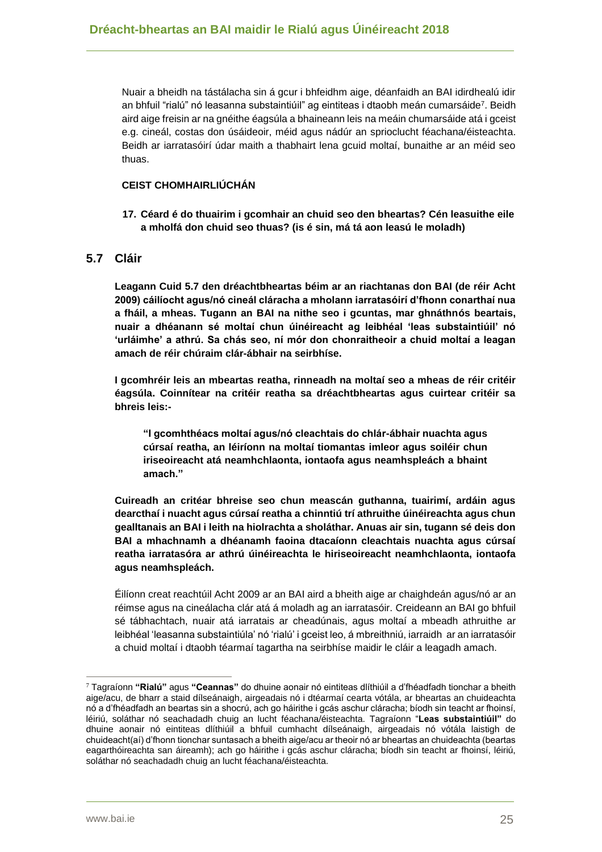Nuair a bheidh na tástálacha sin á gcur i bhfeidhm aige, déanfaidh an BAI idirdhealú idir an bhfuil "rialú" nó leasanna substaintiúil" ag eintiteas i dtaobh meán cumarsáide<sup>7</sup> . Beidh aird aige freisin ar na gnéithe éagsúla a bhaineann leis na meáin chumarsáide atá i gceist e.g. cineál, costas don úsáideoir, méid agus nádúr an sprioclucht féachana/éisteachta. Beidh ar iarratasóirí údar maith a thabhairt lena gcuid moltaí, bunaithe ar an méid seo thuas.

#### **CEIST CHOMHAIRLIÚCHÁN**

**17. Céard é do thuairim i gcomhair an chuid seo den bheartas? Cén leasuithe eile a mholfá don chuid seo thuas? (is é sin, má tá aon leasú le moladh)**

## **5.7 Cláir**

**Leagann Cuid 5.7 den dréachtbheartas béim ar an riachtanas don BAI (de réir Acht 2009) cáilíocht agus/nó cineál cláracha a mholann iarratasóirí d'fhonn conarthaí nua a fháil, a mheas. Tugann an BAI na nithe seo i gcuntas, mar ghnáthnós beartais, nuair a dhéanann sé moltaí chun úinéireacht ag leibhéal 'leas substaintiúil' nó 'urláimhe' a athrú. Sa chás seo, ní mór don chonraitheoir a chuid moltaí a leagan amach de réir chúraim clár-ábhair na seirbhíse.**

**I gcomhréir leis an mbeartas reatha, rinneadh na moltaí seo a mheas de réir critéir éagsúla. Coinnítear na critéir reatha sa dréachtbheartas agus cuirtear critéir sa bhreis leis:-**

**"I gcomhthéacs moltaí agus/nó cleachtais do chlár-ábhair nuachta agus cúrsaí reatha, an léiríonn na moltaí tiomantas imleor agus soiléir chun iriseoireacht atá neamhchlaonta, iontaofa agus neamhspleách a bhaint amach."**

**Cuireadh an critéar bhreise seo chun meascán guthanna, tuairimí, ardáin agus dearcthaí i nuacht agus cúrsaí reatha a chinntiú trí athruithe úinéireachta agus chun gealltanais an BAI i leith na hiolrachta a sholáthar. Anuas air sin, tugann sé deis don BAI a mhachnamh a dhéanamh faoina dtacaíonn cleachtais nuachta agus cúrsaí reatha iarratasóra ar athrú úinéireachta le hiriseoireacht neamhchlaonta, iontaofa agus neamhspleách.** 

Éilíonn creat reachtúil Acht 2009 ar an BAI aird a bheith aige ar chaighdeán agus/nó ar an réimse agus na cineálacha clár atá á moladh ag an iarratasóir. Creideann an BAI go bhfuil sé tábhachtach, nuair atá iarratais ar cheadúnais, agus moltaí a mbeadh athruithe ar leibhéal 'leasanna substaintiúla' nó 'rialú' i gceist leo, á mbreithniú, iarraidh ar an iarratasóir a chuid moltaí i dtaobh téarmaí tagartha na seirbhíse maidir le cláir a leagadh amach.

<sup>7</sup> Tagraíonn **"Rialú"** agus **"Ceannas"** do dhuine aonair nó eintiteas dlíthiúil a d'fhéadfadh tionchar a bheith aige/acu, de bharr a staid dílseánaigh, airgeadais nó i dtéarmaí cearta vótála, ar bheartas an chuideachta nó a d'fhéadfadh an beartas sin a shocrú, ach go háirithe i gcás aschur cláracha; bíodh sin teacht ar fhoinsí, léiriú, soláthar nó seachadadh chuig an lucht féachana/éisteachta. Tagraíonn "**Leas substaintiúil"** do dhuine aonair nó eintiteas dlíthiúil a bhfuil cumhacht dílseánaigh, airgeadais nó vótála laistigh de chuideacht(aí) d'fhonn tionchar suntasach a bheith aige/acu ar theoir nó ar bheartas an chuideachta (beartas eagarthóireachta san áireamh); ach go háirithe i gcás aschur cláracha; bíodh sin teacht ar fhoinsí, léiriú, soláthar nó seachadadh chuig an lucht féachana/éisteachta.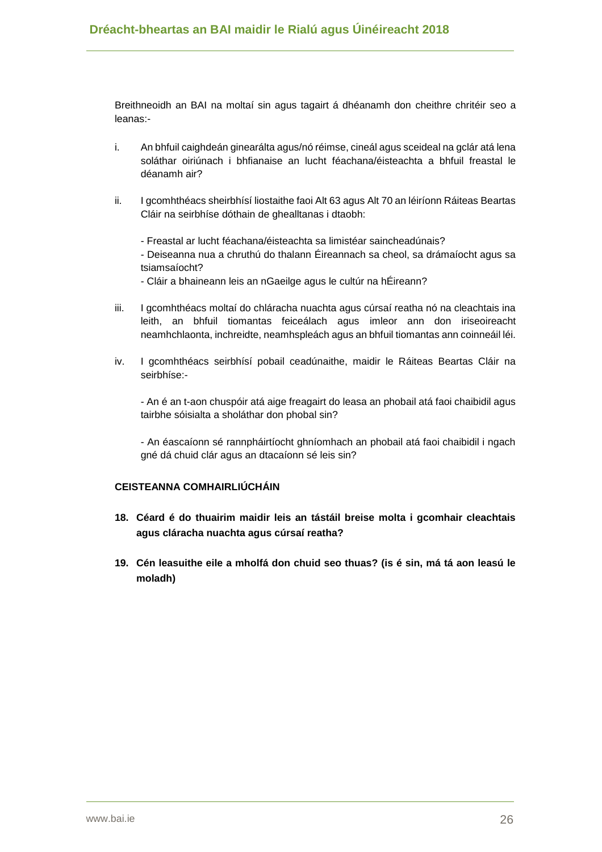Breithneoidh an BAI na moltaí sin agus tagairt á dhéanamh don cheithre chritéir seo a leanas:-

- i. An bhfuil caighdeán ginearálta agus/nó réimse, cineál agus sceideal na gclár atá lena soláthar oiriúnach i bhfianaise an lucht féachana/éisteachta a bhfuil freastal le déanamh air?
- ii. I gcomhthéacs sheirbhísí liostaithe faoi Alt 63 agus Alt 70 an léiríonn Ráiteas Beartas Cláir na seirbhíse dóthain de ghealltanas i dtaobh:
	- Freastal ar lucht féachana/éisteachta sa limistéar saincheadúnais?

- Deiseanna nua a chruthú do thalann Éireannach sa cheol, sa drámaíocht agus sa tsiamsaíocht?

- Cláir a bhaineann leis an nGaeilge agus le cultúr na hÉireann?
- iii. I gcomhthéacs moltaí do chláracha nuachta agus cúrsaí reatha nó na cleachtais ina leith, an bhfuil tiomantas feiceálach agus imleor ann don iriseoireacht neamhchlaonta, inchreidte, neamhspleách agus an bhfuil tiomantas ann coinneáil léi.
- iv. I gcomhthéacs seirbhísí pobail ceadúnaithe, maidir le Ráiteas Beartas Cláir na seirbhíse:-

- An é an t-aon chuspóir atá aige freagairt do leasa an phobail atá faoi chaibidil agus tairbhe sóisialta a sholáthar don phobal sin?

- An éascaíonn sé rannpháirtíocht ghníomhach an phobail atá faoi chaibidil i ngach gné dá chuid clár agus an dtacaíonn sé leis sin?

#### **CEISTEANNA COMHAIRLIÚCHÁIN**

- **18. Céard é do thuairim maidir leis an tástáil breise molta i gcomhair cleachtais agus cláracha nuachta agus cúrsaí reatha?**
- **19. Cén leasuithe eile a mholfá don chuid seo thuas? (is é sin, má tá aon leasú le moladh)**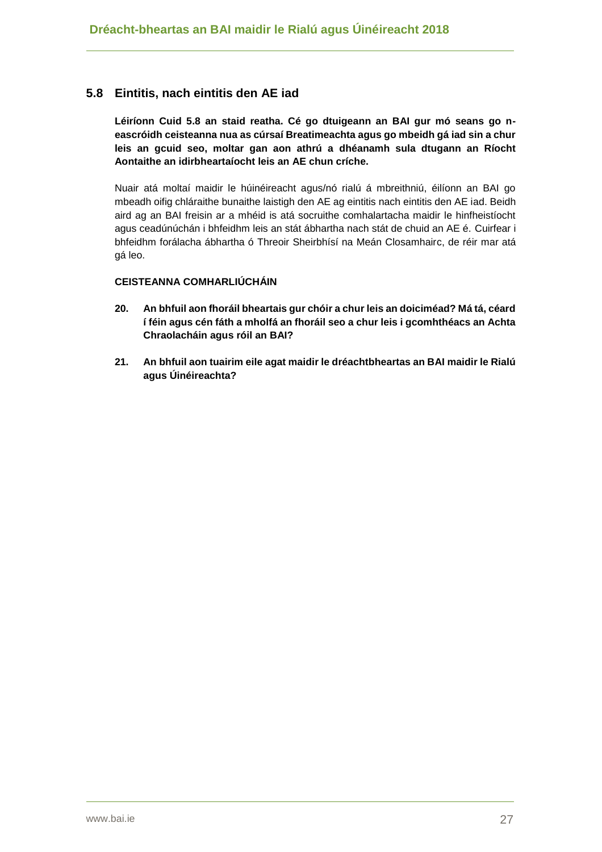## **5.8 Eintitis, nach eintitis den AE iad**

**Léiríonn Cuid 5.8 an staid reatha. Cé go dtuigeann an BAI gur mó seans go neascróidh ceisteanna nua as cúrsaí Breatimeachta agus go mbeidh gá iad sin a chur leis an gcuid seo, moltar gan aon athrú a dhéanamh sula dtugann an Ríocht Aontaithe an idirbheartaíocht leis an AE chun críche.**

Nuair atá moltaí maidir le húinéireacht agus/nó rialú á mbreithniú, éilíonn an BAI go mbeadh oifig chláraithe bunaithe laistigh den AE ag eintitis nach eintitis den AE iad. Beidh aird ag an BAI freisin ar a mhéid is atá socruithe comhalartacha maidir le hinfheistíocht agus ceadúnúchán i bhfeidhm leis an stát ábhartha nach stát de chuid an AE é. Cuirfear i bhfeidhm forálacha ábhartha ó Threoir Sheirbhísí na Meán Closamhairc, de réir mar atá gá leo.

#### **CEISTEANNA COMHARLIÚCHÁIN**

- **20. An bhfuil aon fhoráil bheartais gur chóir a chur leis an doiciméad? Má tá, céard í féin agus cén fáth a mholfá an fhoráil seo a chur leis i gcomhthéacs an Achta Chraolacháin agus róil an BAI?**
- **21. An bhfuil aon tuairim eile agat maidir le dréachtbheartas an BAI maidir le Rialú agus Úinéireachta?**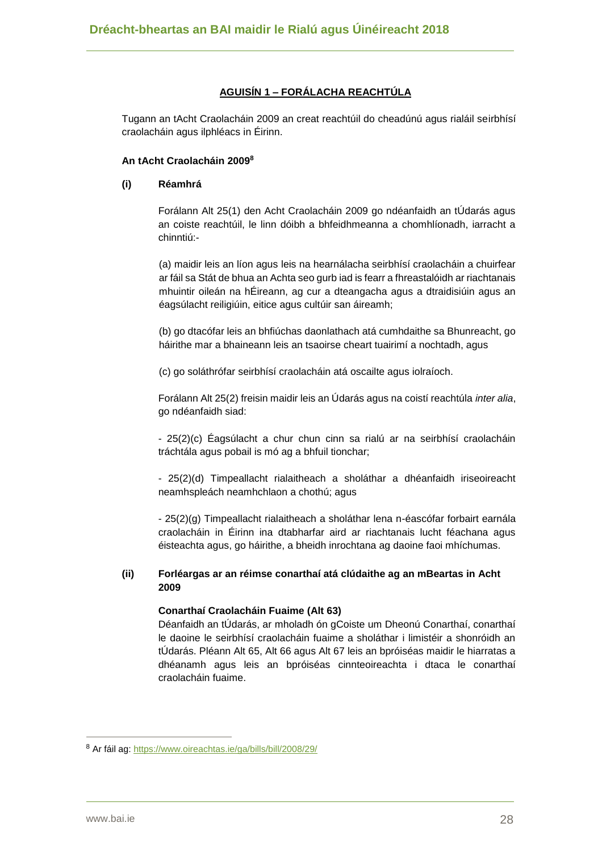## **AGUISÍN 1 – FORÁLACHA REACHTÚLA**

Tugann an tAcht Craolacháin 2009 an creat reachtúil do cheadúnú agus rialáil seirbhísí craolacháin agus ilphléacs in Éirinn.

#### **An tAcht Craolacháin 2009<sup>8</sup>**

#### **(i) Réamhrá**

Forálann Alt 25(1) den Acht Craolacháin 2009 go ndéanfaidh an tÚdarás agus an coiste reachtúil, le linn dóibh a bhfeidhmeanna a chomhlíonadh, iarracht a chinntiú:-

(a) maidir leis an líon agus leis na hearnálacha seirbhísí craolacháin a chuirfear ar fáil sa Stát de bhua an Achta seo gurb iad is fearr a fhreastalóidh ar riachtanais mhuintir oileán na hÉireann, ag cur a dteangacha agus a dtraidisiúin agus an éagsúlacht reiligiúin, eitice agus cultúir san áireamh;

(b) go dtacófar leis an bhfiúchas daonlathach atá cumhdaithe sa Bhunreacht, go háirithe mar a bhaineann leis an tsaoirse cheart tuairimí a nochtadh, agus

(c) go soláthrófar seirbhísí craolacháin atá oscailte agus iolraíoch.

Forálann Alt 25(2) freisin maidir leis an Údarás agus na coistí reachtúla *inter alia*, go ndéanfaidh siad:

- 25(2)(c) Éagsúlacht a chur chun cinn sa rialú ar na seirbhísí craolacháin tráchtála agus pobail is mó ag a bhfuil tionchar;

- 25(2)(d) Timpeallacht rialaitheach a sholáthar a dhéanfaidh iriseoireacht neamhspleách neamhchlaon a chothú; agus

- 25(2)(g) Timpeallacht rialaitheach a sholáthar lena n-éascófar forbairt earnála craolacháin in Éirinn ina dtabharfar aird ar riachtanais lucht féachana agus éisteachta agus, go háirithe, a bheidh inrochtana ag daoine faoi mhíchumas.

#### **(ii) Forléargas ar an réimse conarthaí atá clúdaithe ag an mBeartas in Acht 2009**

#### **Conarthaí Craolacháin Fuaime (Alt 63)**

Déanfaidh an tÚdarás, ar mholadh ón gCoiste um Dheonú Conarthaí, conarthaí le daoine le seirbhísí craolacháin fuaime a sholáthar i limistéir a shonróidh an tÚdarás. Pléann Alt 65, Alt 66 agus Alt 67 leis an bpróiséas maidir le hiarratas a dhéanamh agus leis an bpróiséas cinnteoireachta i dtaca le conarthaí craolacháin fuaime.

<sup>8</sup> Ar fáil ag:<https://www.oireachtas.ie/ga/bills/bill/2008/29/>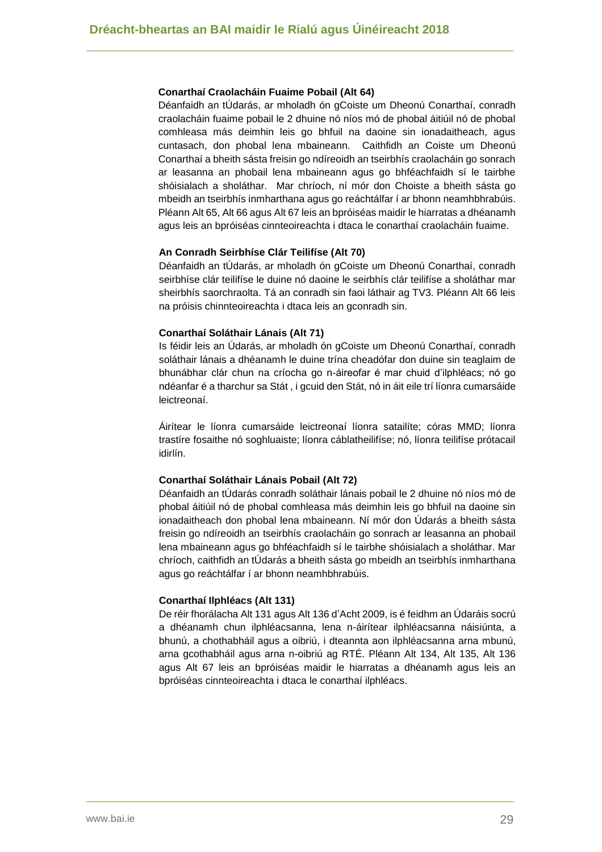#### **Conarthaí Craolacháin Fuaime Pobail (Alt 64)**

Déanfaidh an tÚdarás, ar mholadh ón gCoiste um Dheonú Conarthaí, conradh craolacháin fuaime pobail le 2 dhuine nó níos mó de phobal áitiúil nó de phobal comhleasa más deimhin leis go bhfuil na daoine sin ionadaitheach, agus cuntasach, don phobal lena mbaineann. Caithfidh an Coiste um Dheonú Conarthaí a bheith sásta freisin go ndíreoidh an tseirbhís craolacháin go sonrach ar leasanna an phobail lena mbaineann agus go bhféachfaidh sí le tairbhe shóisialach a sholáthar. Mar chríoch, ní mór don Choiste a bheith sásta go mbeidh an tseirbhís inmharthana agus go reáchtálfar í ar bhonn neamhbhrabúis. Pléann Alt 65, Alt 66 agus Alt 67 leis an bpróiséas maidir le hiarratas a dhéanamh agus leis an bpróiséas cinnteoireachta i dtaca le conarthaí craolacháin fuaime.

#### **An Conradh Seirbhíse Clár Teilifíse (Alt 70)**

Déanfaidh an tÚdarás, ar mholadh ón gCoiste um Dheonú Conarthaí, conradh seirbhíse clár teilifíse le duine nó daoine le seirbhís clár teilifíse a sholáthar mar sheirbhís saorchraolta. Tá an conradh sin faoi láthair ag TV3. Pléann Alt 66 leis na próisis chinnteoireachta i dtaca leis an gconradh sin.

#### **Conarthaí Soláthair Lánais (Alt 71)**

Is féidir leis an Údarás, ar mholadh ón gCoiste um Dheonú Conarthaí, conradh soláthair lánais a dhéanamh le duine trína cheadófar don duine sin teaglaim de bhunábhar clár chun na críocha go n-áireofar é mar chuid d'ilphléacs; nó go ndéanfar é a tharchur sa Stát , i gcuid den Stát, nó in áit eile trí líonra cumarsáide leictreonaí.

Áirítear le líonra cumarsáide leictreonaí líonra satailíte; córas MMD; líonra trastíre fosaithe nó soghluaiste; líonra cáblatheilifíse; nó, líonra teilifíse prótacail idirlín.

#### **Conarthaí Soláthair Lánais Pobail (Alt 72)**

Déanfaidh an tÚdarás conradh soláthair lánais pobail le 2 dhuine nó níos mó de phobal áitiúil nó de phobal comhleasa más deimhin leis go bhfuil na daoine sin ionadaitheach don phobal lena mbaineann. Ní mór don Údarás a bheith sásta freisin go ndíreoidh an tseirbhís craolacháin go sonrach ar leasanna an phobail lena mbaineann agus go bhféachfaidh sí le tairbhe shóisialach a sholáthar. Mar chríoch, caithfidh an tÚdarás a bheith sásta go mbeidh an tseirbhís inmharthana agus go reáchtálfar í ar bhonn neamhbhrabúis.

#### **Conarthaí Ilphléacs (Alt 131)**

De réir fhorálacha Alt 131 agus Alt 136 d'Acht 2009, is é feidhm an Údaráis socrú a dhéanamh chun ilphléacsanna, lena n-áirítear ilphléacsanna náisiúnta, a bhunú, a chothabháil agus a oibriú, i dteannta aon ilphléacsanna arna mbunú, arna gcothabháil agus arna n-oibriú ag RTÉ. Pléann Alt 134, Alt 135, Alt 136 agus Alt 67 leis an bpróiséas maidir le hiarratas a dhéanamh agus leis an bpróiséas cinnteoireachta i dtaca le conarthaí ilphléacs.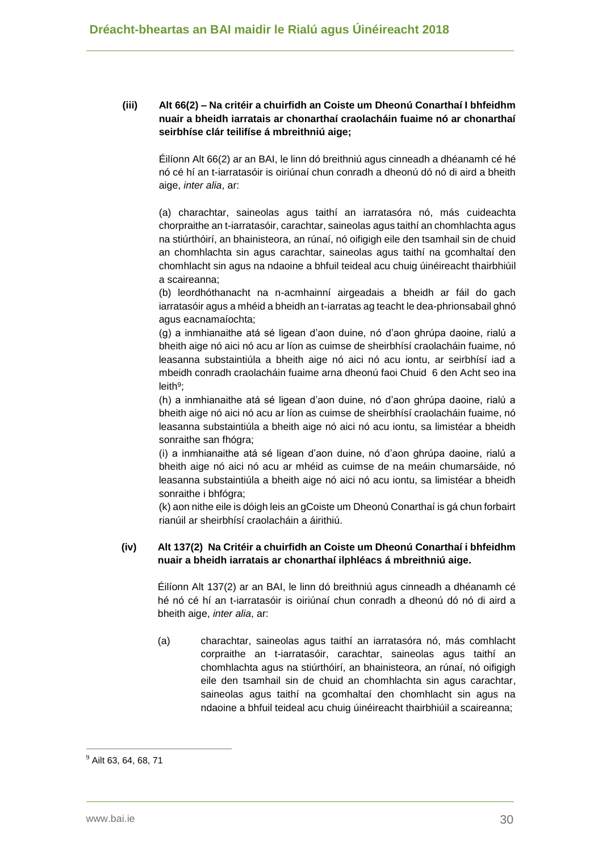#### **(iii) Alt 66(2) – Na critéir a chuirfidh an Coiste um Dheonú Conarthaí I bhfeidhm nuair a bheidh iarratais ar chonarthaí craolacháin fuaime nó ar chonarthaí seirbhíse clár teilifíse á mbreithniú aige;**

Éilíonn Alt 66(2) ar an BAI, le linn dó breithniú agus cinneadh a dhéanamh cé hé nó cé hí an t-iarratasóir is oiriúnaí chun conradh a dheonú dó nó di aird a bheith aige, *inter alia*, ar:

(a) charachtar, saineolas agus taithí an iarratasóra nó, más cuideachta chorpraithe an t-iarratasóir, carachtar, saineolas agus taithí an chomhlachta agus na stiúrthóirí, an bhainisteora, an rúnaí, nó oifigigh eile den tsamhail sin de chuid an chomhlachta sin agus carachtar, saineolas agus taithí na gcomhaltaí den chomhlacht sin agus na ndaoine a bhfuil teideal acu chuig úinéireacht thairbhiúil a scaireanna;

(b) leordhóthanacht na n-acmhainní airgeadais a bheidh ar fáil do gach iarratasóir agus a mhéid a bheidh an t-iarratas ag teacht le dea-phrionsabail ghnó agus eacnamaíochta;

(g) a inmhianaithe atá sé ligean d'aon duine, nó d'aon ghrúpa daoine, rialú a bheith aige nó aici nó acu ar líon as cuimse de sheirbhísí craolacháin fuaime, nó leasanna substaintiúla a bheith aige nó aici nó acu iontu, ar seirbhísí iad a mbeidh conradh craolacháin fuaime arna dheonú faoi Chuid 6 den Acht seo ina leith<sup>9</sup>;

(h) a inmhianaithe atá sé ligean d'aon duine, nó d'aon ghrúpa daoine, rialú a bheith aige nó aici nó acu ar líon as cuimse de sheirbhísí craolacháin fuaime, nó leasanna substaintiúla a bheith aige nó aici nó acu iontu, sa limistéar a bheidh sonraithe san fhógra;

(i) a inmhianaithe atá sé ligean d'aon duine, nó d'aon ghrúpa daoine, rialú a bheith aige nó aici nó acu ar mhéid as cuimse de na meáin chumarsáide, nó leasanna substaintiúla a bheith aige nó aici nó acu iontu, sa limistéar a bheidh sonraithe i bhfógra;

(k) aon nithe eile is dóigh leis an gCoiste um Dheonú Conarthaí is gá chun forbairt rianúil ar sheirbhísí craolacháin a áirithiú.

#### **(iv) Alt 137(2) Na Critéir a chuirfidh an Coiste um Dheonú Conarthaí i bhfeidhm nuair a bheidh iarratais ar chonarthaí ilphléacs á mbreithniú aige.**

Éilíonn Alt 137(2) ar an BAI, le linn dó breithniú agus cinneadh a dhéanamh cé hé nó cé hí an t-iarratasóir is oiriúnaí chun conradh a dheonú dó nó di aird a bheith aige, *inter alia*, ar:

(a) charachtar, saineolas agus taithí an iarratasóra nó, más comhlacht corpraithe an t-iarratasóir, carachtar, saineolas agus taithí an chomhlachta agus na stiúrthóirí, an bhainisteora, an rúnaí, nó oifigigh eile den tsamhail sin de chuid an chomhlachta sin agus carachtar, saineolas agus taithí na gcomhaltaí den chomhlacht sin agus na ndaoine a bhfuil teideal acu chuig úinéireacht thairbhiúil a scaireanna;

<sup>9</sup> Ailt 63, 64, 68, 71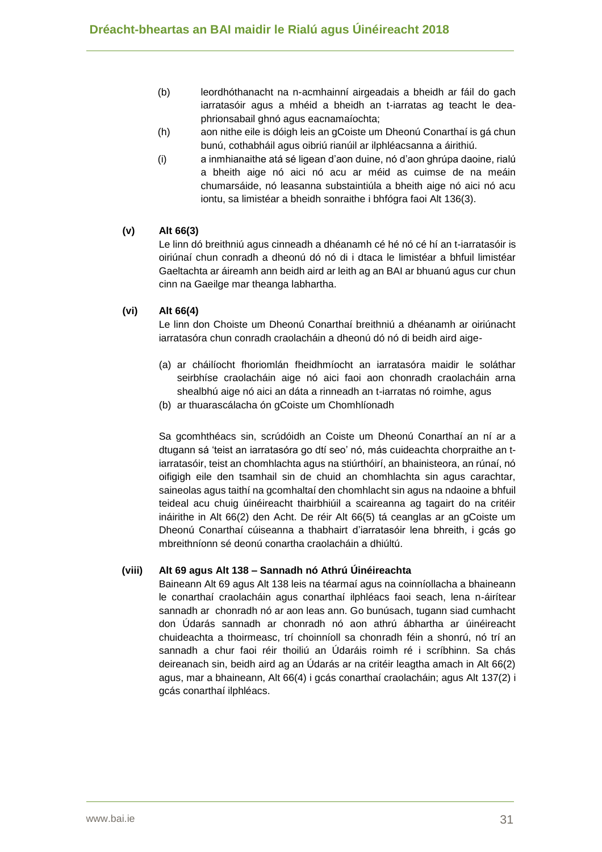- (b) leordhóthanacht na n-acmhainní airgeadais a bheidh ar fáil do gach iarratasóir agus a mhéid a bheidh an t-iarratas ag teacht le deaphrionsabail ghnó agus eacnamaíochta;
- (h) aon nithe eile is dóigh leis an gCoiste um Dheonú Conarthaí is gá chun bunú, cothabháil agus oibriú rianúil ar ilphléacsanna a áirithiú.
- (i) a inmhianaithe atá sé ligean d'aon duine, nó d'aon ghrúpa daoine, rialú a bheith aige nó aici nó acu ar méid as cuimse de na meáin chumarsáide, nó leasanna substaintiúla a bheith aige nó aici nó acu iontu, sa limistéar a bheidh sonraithe i bhfógra faoi Alt 136(3).

#### **(v) Alt 66(3)**

Le linn dó breithniú agus cinneadh a dhéanamh cé hé nó cé hí an t-iarratasóir is oiriúnaí chun conradh a dheonú dó nó di i dtaca le limistéar a bhfuil limistéar Gaeltachta ar áireamh ann beidh aird ar leith ag an BAI ar bhuanú agus cur chun cinn na Gaeilge mar theanga labhartha.

#### **(vi) Alt 66(4)**

Le linn don Choiste um Dheonú Conarthaí breithniú a dhéanamh ar oiriúnacht iarratasóra chun conradh craolacháin a dheonú dó nó di beidh aird aige-

- (a) ar cháilíocht fhoriomlán fheidhmíocht an iarratasóra maidir le soláthar seirbhíse craolacháin aige nó aici faoi aon chonradh craolacháin arna shealbhú aige nó aici an dáta a rinneadh an t-iarratas nó roimhe, agus
- (b) ar thuarascálacha ón gCoiste um Chomhlíonadh

Sa gcomhthéacs sin, scrúdóidh an Coiste um Dheonú Conarthaí an ní ar a dtugann sá 'teist an iarratasóra go dtí seo' nó, más cuideachta chorpraithe an tiarratasóir, teist an chomhlachta agus na stiúrthóirí, an bhainisteora, an rúnaí, nó oifigigh eile den tsamhail sin de chuid an chomhlachta sin agus carachtar, saineolas agus taithí na gcomhaltaí den chomhlacht sin agus na ndaoine a bhfuil teideal acu chuig úinéireacht thairbhiúil a scaireanna ag tagairt do na critéir ináirithe in Alt 66(2) den Acht. De réir Alt 66(5) tá ceanglas ar an gCoiste um Dheonú Conarthaí cúiseanna a thabhairt d'iarratasóir lena bhreith, i gcás go mbreithníonn sé deonú conartha craolacháin a dhiúltú.

#### **(viii) Alt 69 agus Alt 138 – Sannadh nó Athrú Úinéireachta**

Baineann Alt 69 agus Alt 138 leis na téarmaí agus na coinníollacha a bhaineann le conarthaí craolacháin agus conarthaí ilphléacs faoi seach, lena n-áirítear sannadh ar chonradh nó ar aon leas ann. Go bunúsach, tugann siad cumhacht don Údarás sannadh ar chonradh nó aon athrú ábhartha ar úinéireacht chuideachta a thoirmeasc, trí choinníoll sa chonradh féin a shonrú, nó trí an sannadh a chur faoi réir thoiliú an Údaráis roimh ré i scríbhinn. Sa chás deireanach sin, beidh aird ag an Údarás ar na critéir leagtha amach in Alt 66(2) agus, mar a bhaineann, Alt 66(4) i gcás conarthaí craolacháin; agus Alt 137(2) i gcás conarthaí ilphléacs.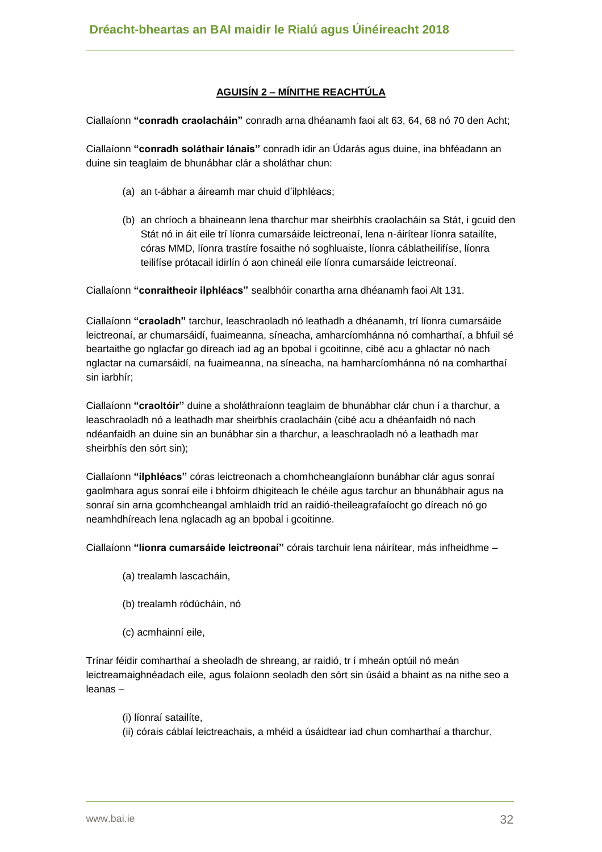## **AGUISÍN 2 – MÍNITHE REACHTÚLA**

Ciallaíonn **"conradh craolacháin"** conradh arna dhéanamh faoi alt 63, 64, 68 nó 70 den Acht;

Ciallaíonn **"conradh soláthair lánais"** conradh idir an Údarás agus duine, ina bhféadann an duine sin teaglaim de bhunábhar clár a sholáthar chun:

- (a) an t-ábhar a áireamh mar chuid d'ilphléacs;
- (b) an chríoch a bhaineann lena tharchur mar sheirbhís craolacháin sa Stát, i gcuid den Stát nó in áit eile trí líonra cumarsáide leictreonaí, lena n-áirítear líonra satailíte, córas MMD, líonra trastíre fosaithe nó soghluaiste, líonra cáblatheilifíse, líonra teilifíse prótacail idirlín ó aon chineál eile líonra cumarsáide leictreonaí.

Ciallaíonn **"conraitheoir ilphléacs"** sealbhóir conartha arna dhéanamh faoi Alt 131.

Ciallaíonn **"craoladh"** tarchur, leaschraoladh nó leathadh a dhéanamh, trí líonra cumarsáide leictreonaí, ar chumarsáidí, fuaimeanna, síneacha, amharcíomhánna nó comharthaí, a bhfuil sé beartaithe go nglacfar go díreach iad ag an bpobal i gcoitinne, cibé acu a ghlactar nó nach nglactar na cumarsáidí, na fuaimeanna, na síneacha, na hamharcíomhánna nó na comharthaí sin iarbhír;

Ciallaíonn **"craoltóir"** duine a sholáthraíonn teaglaim de bhunábhar clár chun í a tharchur, a leaschraoladh nó a leathadh mar sheirbhís craolacháin (cibé acu a dhéanfaidh nó nach ndéanfaidh an duine sin an bunábhar sin a tharchur, a leaschraoladh nó a leathadh mar sheirbhís den sórt sin);

Ciallaíonn **"ilphléacs"** córas leictreonach a chomhcheanglaíonn bunábhar clár agus sonraí gaolmhara agus sonraí eile i bhfoirm dhigiteach le chéile agus tarchur an bhunábhair agus na sonraí sin arna gcomhcheangal amhlaidh tríd an raidió-theileagrafaíocht go díreach nó go neamhdhíreach lena nglacadh ag an bpobal i gcoitinne.

Ciallaíonn **"líonra cumarsáide leictreonaí"** córais tarchuir lena náirítear, más infheidhme –

- (a) trealamh lascacháin,
- (b) trealamh ródúcháin, nó
- (c) acmhainní eile,

Trínar féidir comharthaí a sheoladh de shreang, ar raidió, tr í mheán optúil nó meán leictreamaighnéadach eile, agus folaíonn seoladh den sórt sin úsáid a bhaint as na nithe seo a leanas –

- (i) líonraí satailíte,
- (ii) córais cáblaí leictreachais, a mhéid a úsáidtear iad chun comharthaí a tharchur,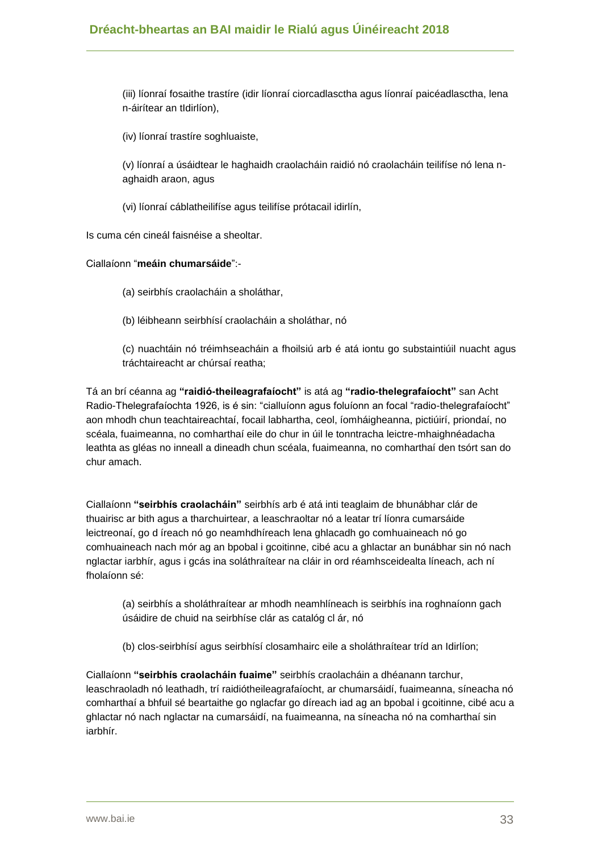(iii) líonraí fosaithe trastíre (idir líonraí ciorcadlasctha agus líonraí paicéadlasctha, lena n-áirítear an tIdirlíon),

(iv) líonraí trastíre soghluaiste,

(v) líonraí a úsáidtear le haghaidh craolacháin raidió nó craolacháin teilifíse nó lena naghaidh araon, agus

(vi) líonraí cáblatheilifíse agus teilifíse prótacail idirlín,

Is cuma cén cineál faisnéise a sheoltar.

Ciallaíonn "**meáin chumarsáide**":-

(a) seirbhís craolacháin a sholáthar,

(b) léibheann seirbhísí craolacháin a sholáthar, nó

(c) nuachtáin nó tréimhseacháin a fhoilsiú arb é atá iontu go substaintiúil nuacht agus tráchtaireacht ar chúrsaí reatha;

Tá an brí céanna ag **"raidió-theileagrafaíocht"** is atá ag **"radio-thelegrafaíocht"** san Acht Radio-Thelegrafaíochta 1926, is é sin: "cialluíonn agus foluíonn an focal "radio-thelegrafaíocht" aon mhodh chun teachtaireachtaí, focail labhartha, ceol, íomháigheanna, pictiúirí, priondaí, no scéala, fuaimeanna, no comharthaí eile do chur in úil le tonntracha leictre-mhaighnéadacha leathta as gléas no inneall a dineadh chun scéala, fuaimeanna, no comharthaí den tsórt san do chur amach.

Ciallaíonn **"seirbhís craolacháin"** seirbhís arb é atá inti teaglaim de bhunábhar clár de thuairisc ar bith agus a tharchuirtear, a leaschraoltar nó a leatar trí líonra cumarsáide leictreonaí, go d íreach nó go neamhdhíreach lena ghlacadh go comhuaineach nó go comhuaineach nach mór ag an bpobal i gcoitinne, cibé acu a ghlactar an bunábhar sin nó nach nglactar iarbhír, agus i gcás ina soláthraítear na cláir in ord réamhsceidealta líneach, ach ní fholaíonn sé:

(a) seirbhís a sholáthraítear ar mhodh neamhlíneach is seirbhís ina roghnaíonn gach úsáidire de chuid na seirbhíse clár as catalóg cl ár, nó

(b) clos-seirbhísí agus seirbhísí closamhairc eile a sholáthraítear tríd an Idirlíon;

Ciallaíonn **"seirbhís craolacháin fuaime"** seirbhís craolacháin a dhéanann tarchur, leaschraoladh nó leathadh, trí raidiótheileagrafaíocht, ar chumarsáidí, fuaimeanna, síneacha nó comharthaí a bhfuil sé beartaithe go nglacfar go díreach iad ag an bpobal i gcoitinne, cibé acu a ghlactar nó nach nglactar na cumarsáidí, na fuaimeanna, na síneacha nó na comharthaí sin iarbhír.